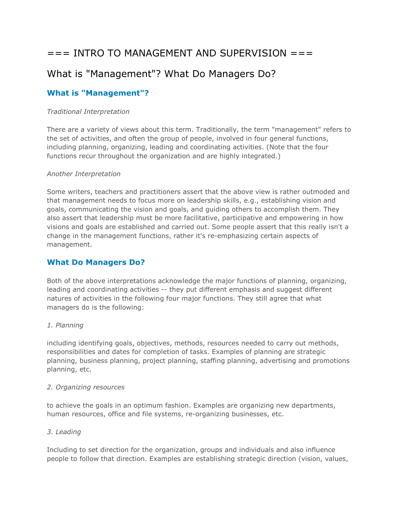# $==$  INTRO TO MANAGEMENT AND SUPERVISION  $==$

# What is "Management"? What Do Managers Do?

# **What is "Management"?**

# *Traditional Interpretation*

There are a variety of views about this term. Traditionally, the term "management" refers to the set of activities, and often the group of people, involved in four general functions, including planning, organizing, leading and coordinating activities. (Note that the four functions recur throughout the organization and are highly integrated.)

## *Another Interpretation*

Some writers, teachers and practitioners assert that the above view is rather outmoded and that management needs to focus more on leadership skills, e.g., establishing vision and goals, communicating the vision and goals, and guiding others to accomplish them. They also assert that leadership must be more facilitative, participative and empowering in how visions and goals are established and carried out. Some people assert that this really isn't a change in the management functions, rather it's re-emphasizing certain aspects of management.

# **What Do Managers Do?**

Both of the above interpretations acknowledge the major functions of planning, organizing, leading and coordinating activities -- they put different emphasis and suggest different natures of activities in the following four major functions. They still agree that what managers do is the following:

## *1. Planning*

including identifying goals, objectives, methods, resources needed to carry out methods, responsibilities and dates for completion of tasks. Examples of planning are strategic planning, business planning, project planning, staffing planning, advertising and promotions planning, etc.

#### *2. Organizing resources*

to achieve the goals in an optimum fashion. Examples are organizing new departments, human resources, office and file systems, re-organizing businesses, etc.

## *3. Leading*

Including to set direction for the organization, groups and individuals and also influence people to follow that direction. Examples are establishing strategic direction (vision, values,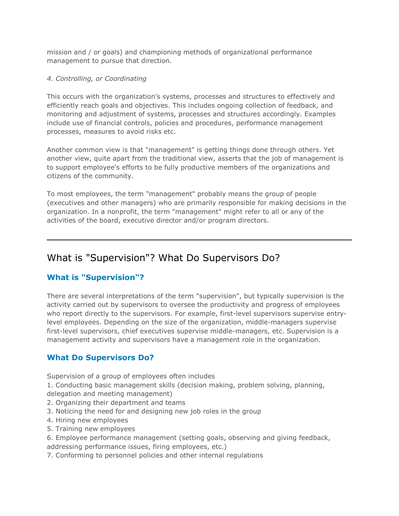mission and / or goals) and championing methods of organizational performance management to pursue that direction.

## *4. Controlling, or Coordinating*

This occurs with the organization's systems, processes and structures to effectively and efficiently reach goals and objectives. This includes ongoing collection of feedback, and monitoring and adjustment of systems, processes and structures accordingly. Examples include use of financial controls, policies and procedures, performance management processes, measures to avoid risks etc.

Another common view is that "management" is getting things done through others. Yet another view, quite apart from the traditional view, asserts that the job of management is to support employee's efforts to be fully productive members of the organizations and citizens of the community.

To most employees, the term "management" probably means the group of people (executives and other managers) who are primarily responsible for making decisions in the organization. In a nonprofit, the term "management" might refer to all or any of the activities of the board, executive director and/or program directors.

# What is "Supervision"? What Do Supervisors Do?

# **What is "Supervision"?**

There are several interpretations of the term "supervision", but typically supervision is the activity carried out by supervisors to oversee the productivity and progress of employees who report directly to the supervisors. For example, first-level supervisors supervise entrylevel employees. Depending on the size of the organization, middle-managers supervise first-level supervisors, chief executives supervise middle-managers, etc. Supervision is a management activity and supervisors have a management role in the organization.

# **What Do Supervisors Do?**

Supervision of a group of employees often includes

1. Conducting basic management skills (decision making, problem solving, planning, delegation and meeting management)

- 2. Organizing their department and teams
- 3. Noticing the need for and designing new job roles in the group
- 4. Hiring new employees
- 5. Training new employees
- 6. Employee performance management (setting goals, observing and giving feedback, addressing performance issues, firing employees, etc.)
- 7. Conforming to personnel policies and other internal regulations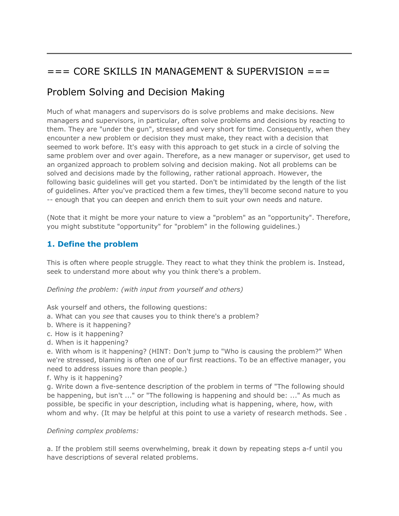# $==$  CORE SKILLS IN MANAGEMENT & SUPERVISION  $==$

# Problem Solving and Decision Making

Much of what managers and supervisors do is solve problems and make decisions. New managers and supervisors, in particular, often solve problems and decisions by reacting to them. They are "under the gun", stressed and very short for time. Consequently, when they encounter a new problem or decision they must make, they react with a decision that seemed to work before. It's easy with this approach to get stuck in a circle of solving the same problem over and over again. Therefore, as a new manager or supervisor, get used to an organized approach to problem solving and decision making. Not all problems can be solved and decisions made by the following, rather rational approach. However, the following basic guidelines will get you started. Don't be intimidated by the length of the list of guidelines. After you've practiced them a few times, they'll become second nature to you -- enough that you can deepen and enrich them to suit your own needs and nature.

(Note that it might be more your nature to view a "problem" as an "opportunity". Therefore, you might substitute "opportunity" for "problem" in the following guidelines.)

# **1. Define the problem**

This is often where people struggle. They react to what they think the problem is. Instead, seek to understand more about why you think there's a problem.

## *Defining the problem: (with input from yourself and others)*

Ask yourself and others, the following questions:

- a. What can you *see* that causes you to think there's a problem?
- b. Where is it happening?
- c. How is it happening?
- d. When is it happening?

e. With whom is it happening? (HINT: Don't jump to "Who is causing the problem?" When we're stressed, blaming is often one of our first reactions. To be an effective manager, you need to address issues more than people.)

f. Why is it happening?

g. Write down a five-sentence description of the problem in terms of "The following should be happening, but isn't ..." or "The following is happening and should be: ..." As much as possible, be specific in your description, including what is happening, where, how, with whom and why. (It may be helpful at this point to use a variety of research methods. See.

#### *Defining complex problems:*

a. If the problem still seems overwhelming, break it down by repeating steps a-f until you have descriptions of several related problems.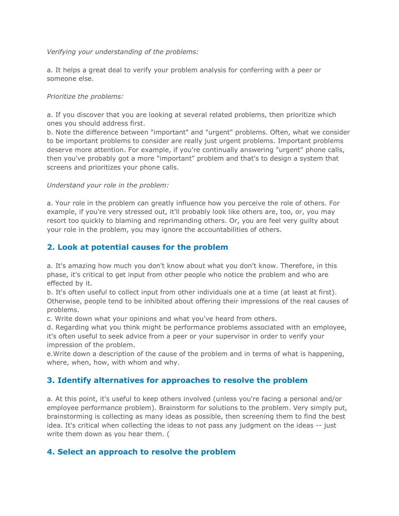*Verifying your understanding of the problems:*

a. It helps a great deal to verify your problem analysis for conferring with a peer or someone else.

## *Prioritize the problems:*

a. If you discover that you are looking at several related problems, then prioritize which ones you should address first.

b. Note the difference between "important" and "urgent" problems. Often, what we consider to be important problems to consider are really just urgent problems. Important problems deserve more attention. For example, if you're continually answering "urgent" phone calls, then you've probably got a more "important" problem and that's to design a system that screens and prioritizes your phone calls.

### *Understand your role in the problem:*

a. Your role in the problem can greatly influence how you perceive the role of others. For example, if you're very stressed out, it'll probably look like others are, too, or, you may resort too quickly to blaming and reprimanding others. Or, you are feel very guilty about your role in the problem, you may ignore the accountabilities of others.

# **2. Look at potential causes for the problem**

a. It's amazing how much you don't know about what you don't know. Therefore, in this phase, it's critical to get input from other people who notice the problem and who are effected by it.

b. It's often useful to collect input from other individuals one at a time (at least at first). Otherwise, people tend to be inhibited about offering their impressions of the real causes of problems.

c. Write down what your opinions and what you've heard from others.

d. Regarding what you think might be performance problems associated with an employee, it's often useful to seek advice from a peer or your supervisor in order to verify your impression of the problem.

e.Write down a description of the cause of the problem and in terms of what is happening, where, when, how, with whom and why.

# **3. Identify alternatives for approaches to resolve the problem**

a. At this point, it's useful to keep others involved (unless you're facing a personal and/or employee performance problem). Brainstorm for solutions to the problem. Very simply put, brainstorming is collecting as many ideas as possible, then screening them to find the best idea. It's critical when collecting the ideas to not pass any judgment on the ideas -- just write them down as you hear them. (

# **4. Select an approach to resolve the problem**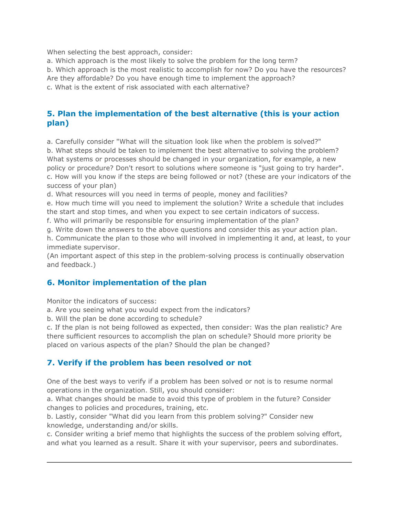When selecting the best approach, consider:

a. Which approach is the most likely to solve the problem for the long term?

b. Which approach is the most realistic to accomplish for now? Do you have the resources?

Are they affordable? Do you have enough time to implement the approach?

c. What is the extent of risk associated with each alternative?

# **5. Plan the implementation of the best alternative (this is your action plan)**

a. Carefully consider "What will the situation look like when the problem is solved?" b. What steps should be taken to implement the best alternative to solving the problem? What systems or processes should be changed in your organization, for example, a new policy or procedure? Don't resort to solutions where someone is "just going to try harder". c. How will you know if the steps are being followed or not? (these are your indicators of the success of your plan)

d. What resources will you need in terms of people, money and facilities?

e. How much time will you need to implement the solution? Write a schedule that includes the start and stop times, and when you expect to see certain indicators of success.

f. Who will primarily be responsible for ensuring implementation of the plan?

g. Write down the answers to the above questions and consider this as your action plan.

h. Communicate the plan to those who will involved in implementing it and, at least, to your immediate supervisor.

(An important aspect of this step in the problem-solving process is continually observation and feedback.)

# **6. Monitor implementation of the plan**

Monitor the indicators of success:

a. Are you seeing what you would expect from the indicators?

b. Will the plan be done according to schedule?

c. If the plan is not being followed as expected, then consider: Was the plan realistic? Are there sufficient resources to accomplish the plan on schedule? Should more priority be placed on various aspects of the plan? Should the plan be changed?

# **7. Verify if the problem has been resolved or not**

One of the best ways to verify if a problem has been solved or not is to resume normal operations in the organization. Still, you should consider:

a. What changes should be made to avoid this type of problem in the future? Consider changes to policies and procedures, training, etc.

b. Lastly, consider "What did you learn from this problem solving?" Consider new knowledge, understanding and/or skills.

c. Consider writing a brief memo that highlights the success of the problem solving effort, and what you learned as a result. Share it with your supervisor, peers and subordinates.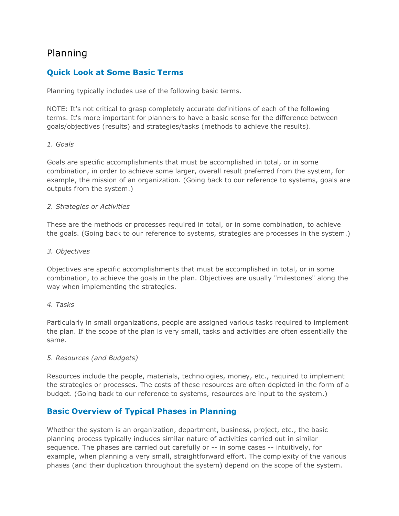# Planning

# **Quick Look at Some Basic Terms**

Planning typically includes use of the following basic terms.

NOTE: It's not critical to grasp completely accurate definitions of each of the following terms. It's more important for planners to have a basic sense for the difference between goals/objectives (results) and strategies/tasks (methods to achieve the results).

### *1. Goals*

Goals are specific accomplishments that must be accomplished in total, or in some combination, in order to achieve some larger, overall result preferred from the system, for example, the mission of an organization. (Going back to our reference to systems, goals are outputs from the system.)

### *2. Strategies or Activities*

These are the methods or processes required in total, or in some combination, to achieve the goals. (Going back to our reference to systems, strategies are processes in the system.)

### *3. Objectives*

Objectives are specific accomplishments that must be accomplished in total, or in some combination, to achieve the goals in the plan. Objectives are usually "milestones" along the way when implementing the strategies.

#### *4. Tasks*

Particularly in small organizations, people are assigned various tasks required to implement the plan. If the scope of the plan is very small, tasks and activities are often essentially the same.

## *5. Resources (and Budgets)*

Resources include the people, materials, technologies, money, etc., required to implement the strategies or processes. The costs of these resources are often depicted in the form of a budget. (Going back to our reference to systems, resources are input to the system.)

# **Basic Overview of Typical Phases in Planning**

Whether the system is an organization, department, business, project, etc., the basic planning process typically includes similar nature of activities carried out in similar sequence. The phases are carried out carefully or -- in some cases -- intuitively, for example, when planning a very small, straightforward effort. The complexity of the various phases (and their duplication throughout the system) depend on the scope of the system.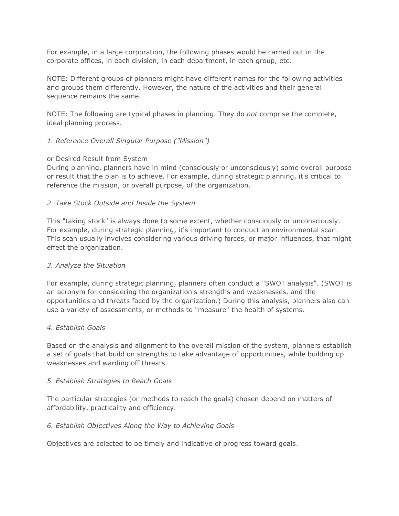For example, in a large corporation, the following phases would be carried out in the corporate offices, in each division, in each department, in each group, etc.

NOTE: Different groups of planners might have different names for the following activities and groups them differently. However, the nature of the activities and their general sequence remains the same.

NOTE: The following are typical phases in planning. They do *not* comprise the complete, ideal planning process.

#### *1. Reference Overall Singular Purpose ("Mission")*

#### or Desired Result from System

During planning, planners have in mind (consciously or unconsciously) some overall purpose or result that the plan is to achieve. For example, during strategic planning, it's critical to reference the mission, or overall purpose, of the organization.

#### *2. Take Stock Outside and Inside the System*

This "taking stock" is always done to some extent, whether consciously or unconsciously. For example, during strategic planning, it's important to conduct an environmental scan. This scan usually involves considering various driving forces, or major influences, that might effect the organization.

#### *3. Analyze the Situation*

For example, during strategic planning, planners often conduct a "SWOT analysis". (SWOT is an acronym for considering the organization's strengths and weaknesses, and the opportunities and threats faced by the organization.) During this analysis, planners also can use a variety of assessments, or methods to "measure" the health of systems.

#### *4. Establish Goals*

Based on the analysis and alignment to the overall mission of the system, planners establish a set of goals that build on strengths to take advantage of opportunities, while building up weaknesses and warding off threats.

#### *5. Establish Strategies to Reach Goals*

The particular strategies (or methods to reach the goals) chosen depend on matters of affordability, practicality and efficiency.

#### *6. Establish Objectives Along the Way to Achieving Goals*

Objectives are selected to be timely and indicative of progress toward goals.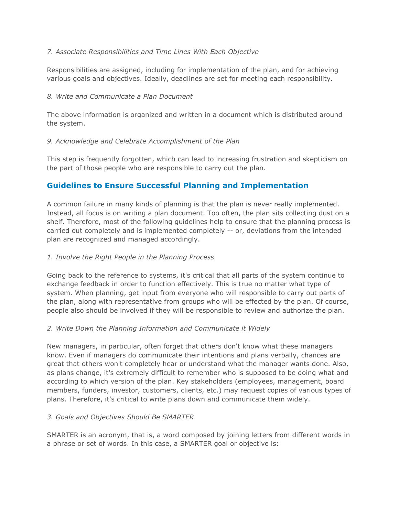# *7. Associate Responsibilities and Time Lines With Each Objective*

Responsibilities are assigned, including for implementation of the plan, and for achieving various goals and objectives. Ideally, deadlines are set for meeting each responsibility.

## *8. Write and Communicate a Plan Document*

The above information is organized and written in a document which is distributed around the system.

## *9. Acknowledge and Celebrate Accomplishment of the Plan*

This step is frequently forgotten, which can lead to increasing frustration and skepticism on the part of those people who are responsible to carry out the plan.

# **Guidelines to Ensure Successful Planning and Implementation**

A common failure in many kinds of planning is that the plan is never really implemented. Instead, all focus is on writing a plan document. Too often, the plan sits collecting dust on a shelf. Therefore, most of the following guidelines help to ensure that the planning process is carried out completely and is implemented completely -- or, deviations from the intended plan are recognized and managed accordingly.

### *1. Involve the Right People in the Planning Process*

Going back to the reference to systems, it's critical that all parts of the system continue to exchange feedback in order to function effectively. This is true no matter what type of system. When planning, get input from everyone who will responsible to carry out parts of the plan, along with representative from groups who will be effected by the plan. Of course, people also should be involved if they will be responsible to review and authorize the plan.

## *2. Write Down the Planning Information and Communicate it Widely*

New managers, in particular, often forget that others don't know what these managers know. Even if managers do communicate their intentions and plans verbally, chances are great that others won't completely hear or understand what the manager wants done. Also, as plans change, it's extremely difficult to remember who is supposed to be doing what and according to which version of the plan. Key stakeholders (employees, management, board members, funders, investor, customers, clients, etc.) may request copies of various types of plans. Therefore, it's critical to write plans down and communicate them widely.

#### *3. Goals and Objectives Should Be SMARTER*

SMARTER is an acronym, that is, a word composed by joining letters from different words in a phrase or set of words. In this case, a SMARTER goal or objective is: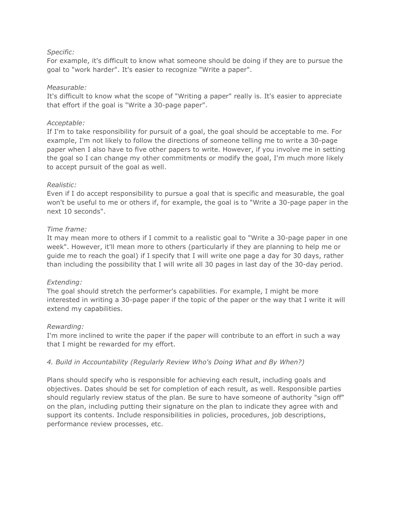### *Specific:*

For example, it's difficult to know what someone should be doing if they are to pursue the goal to "work harder". It's easier to recognize "Write a paper".

#### *Measurable:*

It's difficult to know what the scope of "Writing a paper" really is. It's easier to appreciate that effort if the goal is "Write a 30-page paper".

#### *Acceptable:*

If I'm to take responsibility for pursuit of a goal, the goal should be acceptable to me. For example, I'm not likely to follow the directions of someone telling me to write a 30-page paper when I also have to five other papers to write. However, if you involve me in setting the goal so I can change my other commitments or modify the goal, I'm much more likely to accept pursuit of the goal as well.

### *Realistic:*

Even if I do accept responsibility to pursue a goal that is specific and measurable, the goal won't be useful to me or others if, for example, the goal is to "Write a 30-page paper in the next 10 seconds".

### *Time frame:*

It may mean more to others if I commit to a realistic goal to "Write a 30-page paper in one week". However, it'll mean more to others (particularly if they are planning to help me or guide me to reach the goal) if I specify that I will write one page a day for 30 days, rather than including the possibility that I will write all 30 pages in last day of the 30-day period.

#### *Extending:*

The goal should stretch the performer's capabilities. For example, I might be more interested in writing a 30-page paper if the topic of the paper or the way that I write it will extend my capabilities.

#### *Rewarding:*

I'm more inclined to write the paper if the paper will contribute to an effort in such a way that I might be rewarded for my effort.

## *4. Build in Accountability (Regularly Review Who's Doing What and By When?)*

Plans should specify who is responsible for achieving each result, including goals and objectives. Dates should be set for completion of each result, as well. Responsible parties should regularly review status of the plan. Be sure to have someone of authority "sign off" on the plan, including putting their signature on the plan to indicate they agree with and support its contents. Include responsibilities in policies, procedures, job descriptions, performance review processes, etc.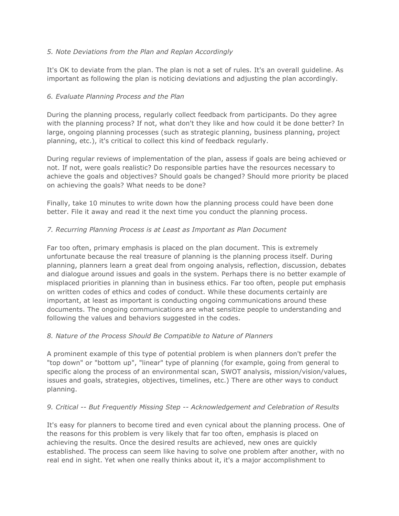# *5. Note Deviations from the Plan and Replan Accordingly*

It's OK to deviate from the plan. The plan is not a set of rules. It's an overall guideline. As important as following the plan is noticing deviations and adjusting the plan accordingly.

# *6. Evaluate Planning Process and the Plan*

During the planning process, regularly collect feedback from participants. Do they agree with the planning process? If not, what don't they like and how could it be done better? In large, ongoing planning processes (such as strategic planning, business planning, project planning, etc.), it's critical to collect this kind of feedback regularly.

During regular reviews of implementation of the plan, assess if goals are being achieved or not. If not, were goals realistic? Do responsible parties have the resources necessary to achieve the goals and objectives? Should goals be changed? Should more priority be placed on achieving the goals? What needs to be done?

Finally, take 10 minutes to write down how the planning process could have been done better. File it away and read it the next time you conduct the planning process.

## *7. Recurring Planning Process is at Least as Important as Plan Document*

Far too often, primary emphasis is placed on the plan document. This is extremely unfortunate because the real treasure of planning is the planning process itself. During planning, planners learn a great deal from ongoing analysis, reflection, discussion, debates and dialogue around issues and goals in the system. Perhaps there is no better example of misplaced priorities in planning than in business ethics. Far too often, people put emphasis on written codes of ethics and codes of conduct. While these documents certainly are important, at least as important is conducting ongoing communications around these documents. The ongoing communications are what sensitize people to understanding and following the values and behaviors suggested in the codes.

## *8. Nature of the Process Should Be Compatible to Nature of Planners*

A prominent example of this type of potential problem is when planners don't prefer the "top down" or "bottom up", "linear" type of planning (for example, going from general to specific along the process of an environmental scan, SWOT analysis, mission/vision/values, issues and goals, strategies, objectives, timelines, etc.) There are other ways to conduct planning.

## *9. Critical -- But Frequently Missing Step -- Acknowledgement and Celebration of Results*

It's easy for planners to become tired and even cynical about the planning process. One of the reasons for this problem is very likely that far too often, emphasis is placed on achieving the results. Once the desired results are achieved, new ones are quickly established. The process can seem like having to solve one problem after another, with no real end in sight. Yet when one really thinks about it, it's a major accomplishment to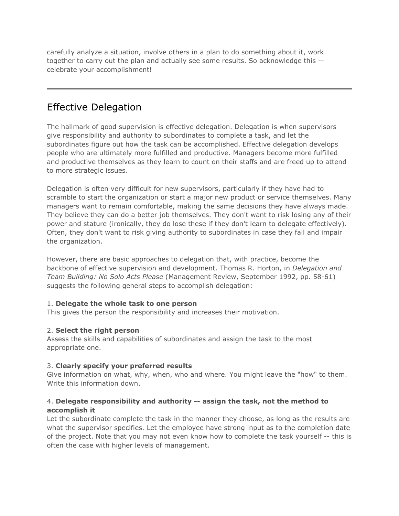carefully analyze a situation, involve others in a plan to do something about it, work together to carry out the plan and actually see some results. So acknowledge this - celebrate your accomplishment!

# Effective Delegation

The hallmark of good supervision is effective delegation. Delegation is when supervisors give responsibility and authority to subordinates to complete a task, and let the subordinates figure out how the task can be accomplished. Effective delegation develops people who are ultimately more fulfilled and productive. Managers become more fulfilled and productive themselves as they learn to count on their staffs and are freed up to attend to more strategic issues.

Delegation is often very difficult for new supervisors, particularly if they have had to scramble to start the organization or start a major new product or service themselves. Many managers want to remain comfortable, making the same decisions they have always made. They believe they can do a better job themselves. They don't want to risk losing any of their power and stature (ironically, they do lose these if they don't learn to delegate effectively). Often, they don't want to risk giving authority to subordinates in case they fail and impair the organization.

However, there are basic approaches to delegation that, with practice, become the backbone of effective supervision and development. Thomas R. Horton, in *Delegation and Team Building: No Solo Acts Please* (Management Review, September 1992, pp. 58-61) suggests the following general steps to accomplish delegation:

## 1. **Delegate the whole task to one person**

This gives the person the responsibility and increases their motivation.

#### 2. **Select the right person**

Assess the skills and capabilities of subordinates and assign the task to the most appropriate one.

#### 3. **Clearly specify your preferred results**

Give information on what, why, when, who and where. You might leave the "how" to them. Write this information down.

## 4. **Delegate responsibility and authority -- assign the task, not the method to accomplish it**

Let the subordinate complete the task in the manner they choose, as long as the results are what the supervisor specifies. Let the employee have strong input as to the completion date of the project. Note that you may not even know how to complete the task yourself -- this is often the case with higher levels of management.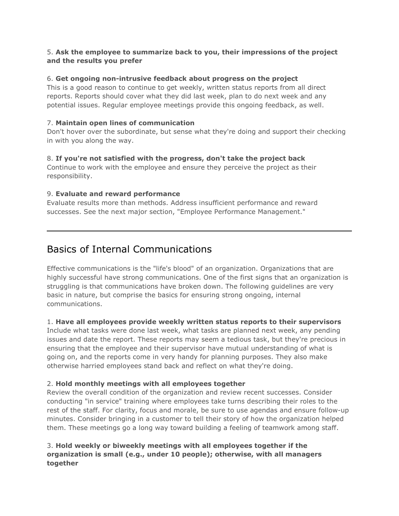## 5. **Ask the employee to summarize back to you, their impressions of the project and the results you prefer**

## 6. **Get ongoing non-intrusive feedback about progress on the project**

This is a good reason to continue to get weekly, written status reports from all direct reports. Reports should cover what they did last week, plan to do next week and any potential issues. Regular employee meetings provide this ongoing feedback, as well.

### 7. **Maintain open lines of communication**

Don't hover over the subordinate, but sense what they're doing and support their checking in with you along the way.

### 8. **If you're not satisfied with the progress, don't take the project back**

Continue to work with the employee and ensure they perceive the project as their responsibility.

### 9. **Evaluate and reward performance**

Evaluate results more than methods. Address insufficient performance and reward successes. See the next major section, "Employee Performance Management."

# Basics of Internal Communications

Effective communications is the "life's blood" of an organization. Organizations that are highly successful have strong communications. One of the first signs that an organization is struggling is that communications have broken down. The following guidelines are very basic in nature, but comprise the basics for ensuring strong ongoing, internal communications.

## 1. **Have all employees provide weekly written status reports to their supervisors**

Include what tasks were done last week, what tasks are planned next week, any pending issues and date the report. These reports may seem a tedious task, but they're precious in ensuring that the employee and their supervisor have mutual understanding of what is going on, and the reports come in very handy for planning purposes. They also make otherwise harried employees stand back and reflect on what they're doing.

## 2. **Hold monthly meetings with all employees together**

Review the overall condition of the organization and review recent successes. Consider conducting "in service" training where employees take turns describing their roles to the rest of the staff. For clarity, focus and morale, be sure to use agendas and ensure follow-up minutes. Consider bringing in a customer to tell their story of how the organization helped them. These meetings go a long way toward building a feeling of teamwork among staff.

# 3. **Hold weekly or biweekly meetings with all employees together if the organization is small (e.g., under 10 people); otherwise, with all managers together**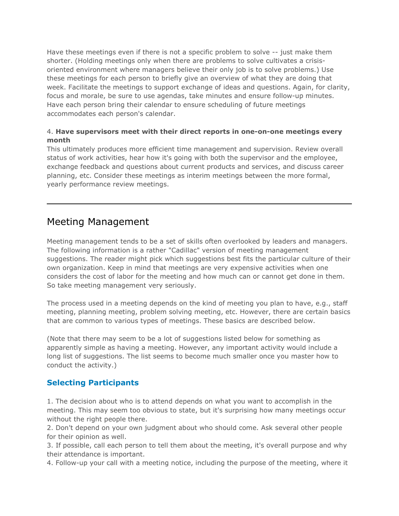Have these meetings even if there is not a specific problem to solve -- just make them shorter. (Holding meetings only when there are problems to solve cultivates a crisisoriented environment where managers believe their only job is to solve problems.) Use these meetings for each person to briefly give an overview of what they are doing that week. Facilitate the meetings to support exchange of ideas and questions. Again, for clarity, focus and morale, be sure to use agendas, take minutes and ensure follow-up minutes. Have each person bring their calendar to ensure scheduling of future meetings accommodates each person's calendar.

# 4. **Have supervisors meet with their direct reports in one-on-one meetings every month**

This ultimately produces more efficient time management and supervision. Review overall status of work activities, hear how it's going with both the supervisor and the employee, exchange feedback and questions about current products and services, and discuss career planning, etc. Consider these meetings as interim meetings between the more formal, yearly performance review meetings.

# Meeting Management

Meeting management tends to be a set of skills often overlooked by leaders and managers. The following information is a rather "Cadillac" version of meeting management suggestions. The reader might pick which suggestions best fits the particular culture of their own organization. Keep in mind that meetings are very expensive activities when one considers the cost of labor for the meeting and how much can or cannot get done in them. So take meeting management very seriously.

The process used in a meeting depends on the kind of meeting you plan to have, e.g., staff meeting, planning meeting, problem solving meeting, etc. However, there are certain basics that are common to various types of meetings. These basics are described below.

(Note that there may seem to be a lot of suggestions listed below for something as apparently simple as having a meeting. However, any important activity would include a long list of suggestions. The list seems to become much smaller once you master how to conduct the activity.)

# **Selecting Participants**

1. The decision about who is to attend depends on what you want to accomplish in the meeting. This may seem too obvious to state, but it's surprising how many meetings occur without the right people there.

2. Don't depend on your own judgment about who should come. Ask several other people for their opinion as well.

3. If possible, call each person to tell them about the meeting, it's overall purpose and why their attendance is important.

4. Follow-up your call with a meeting notice, including the purpose of the meeting, where it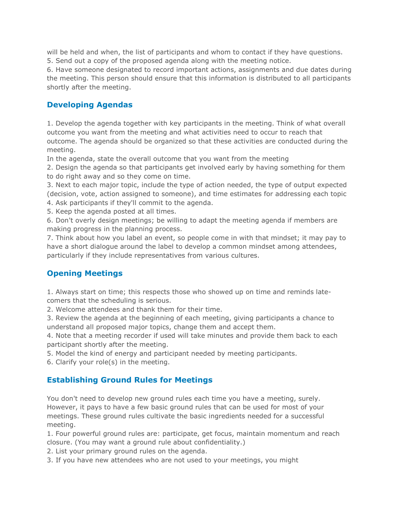will be held and when, the list of participants and whom to contact if they have questions. 5. Send out a copy of the proposed agenda along with the meeting notice.

6. Have someone designated to record important actions, assignments and due dates during the meeting. This person should ensure that this information is distributed to all participants shortly after the meeting.

# **Developing Agendas**

1. Develop the agenda together with key participants in the meeting. Think of what overall outcome you want from the meeting and what activities need to occur to reach that outcome. The agenda should be organized so that these activities are conducted during the meeting.

In the agenda, state the overall outcome that you want from the meeting

2. Design the agenda so that participants get involved early by having something for them to do right away and so they come on time.

3. Next to each major topic, include the type of action needed, the type of output expected (decision, vote, action assigned to someone), and time estimates for addressing each topic 4. Ask participants if they'll commit to the agenda.

5. Keep the agenda posted at all times.

6. Don't overly design meetings; be willing to adapt the meeting agenda if members are making progress in the planning process.

7. Think about how you label an event, so people come in with that mindset; it may pay to have a short dialogue around the label to develop a common mindset among attendees, particularly if they include representatives from various cultures.

# **Opening Meetings**

1. Always start on time; this respects those who showed up on time and reminds latecomers that the scheduling is serious.

2. Welcome attendees and thank them for their time.

3. Review the agenda at the beginning of each meeting, giving participants a chance to understand all proposed major topics, change them and accept them.

4. Note that a meeting recorder if used will take minutes and provide them back to each participant shortly after the meeting.

5. Model the kind of energy and participant needed by meeting participants.

6. Clarify your role(s) in the meeting.

# **Establishing Ground Rules for Meetings**

You don't need to develop new ground rules each time you have a meeting, surely. However, it pays to have a few basic ground rules that can be used for most of your meetings. These ground rules cultivate the basic ingredients needed for a successful meeting.

1. Four powerful ground rules are: participate, get focus, maintain momentum and reach closure. (You may want a ground rule about confidentiality.)

2. List your primary ground rules on the agenda.

3. If you have new attendees who are not used to your meetings, you might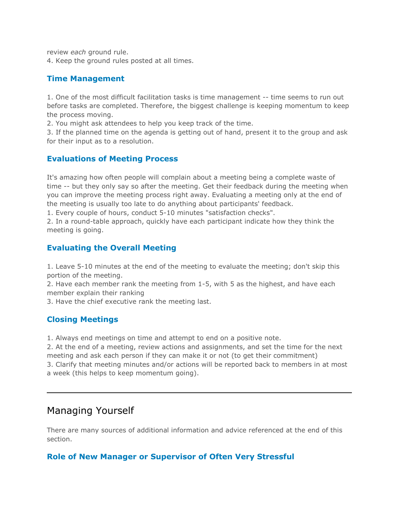review *each* ground rule.

4. Keep the ground rules posted at all times.

# **Time Management**

1. One of the most difficult facilitation tasks is time management -- time seems to run out before tasks are completed. Therefore, the biggest challenge is keeping momentum to keep the process moving.

2. You might ask attendees to help you keep track of the time.

3. If the planned time on the agenda is getting out of hand, present it to the group and ask for their input as to a resolution.

# **Evaluations of Meeting Process**

It's amazing how often people will complain about a meeting being a complete waste of time -- but they only say so after the meeting. Get their feedback during the meeting when you can improve the meeting process right away. Evaluating a meeting only at the end of the meeting is usually too late to do anything about participants' feedback.

1. Every couple of hours, conduct 5-10 minutes "satisfaction checks".

2. In a round-table approach, quickly have each participant indicate how they think the meeting is going.

# **Evaluating the Overall Meeting**

1. Leave 5-10 minutes at the end of the meeting to evaluate the meeting; don't skip this portion of the meeting.

2. Have each member rank the meeting from 1-5, with 5 as the highest, and have each member explain their ranking

3. Have the chief executive rank the meeting last.

# **Closing Meetings**

1. Always end meetings on time and attempt to end on a positive note.

2. At the end of a meeting, review actions and assignments, and set the time for the next meeting and ask each person if they can make it or not (to get their commitment) 3. Clarify that meeting minutes and/or actions will be reported back to members in at most a week (this helps to keep momentum going).

# Managing Yourself

There are many sources of additional information and advice referenced at the end of this section.

# **Role of New Manager or Supervisor of Often Very Stressful**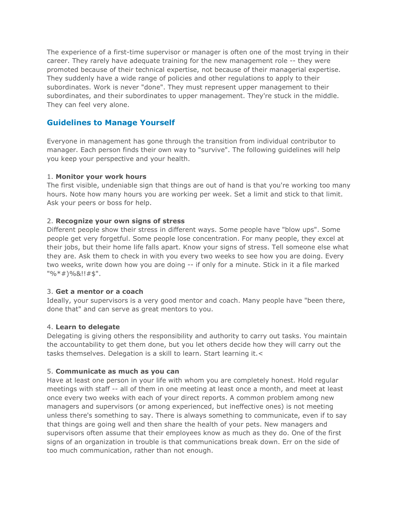The experience of a first-time supervisor or manager is often one of the most trying in their career. They rarely have adequate training for the new management role -- they were promoted because of their technical expertise, not because of their managerial expertise. They suddenly have a wide range of policies and other regulations to apply to their subordinates. Work is never "done". They must represent upper management to their subordinates, and their subordinates to upper management. They're stuck in the middle. They can feel very alone.

# **Guidelines to Manage Yourself**

Everyone in management has gone through the transition from individual contributor to manager. Each person finds their own way to "survive". The following guidelines will help you keep your perspective and your health.

### 1. **Monitor your work hours**

The first visible, undeniable sign that things are out of hand is that you're working too many hours. Note how many hours you are working per week. Set a limit and stick to that limit. Ask your peers or boss for help.

## 2. **Recognize your own signs of stress**

Different people show their stress in different ways. Some people have "blow ups". Some people get very forgetful. Some people lose concentration. For many people, they excel at their jobs, but their home life falls apart. Know your signs of stress. Tell someone else what they are. Ask them to check in with you every two weeks to see how you are doing. Every two weeks, write down how you are doing -- if only for a minute. Stick in it a file marked "%\*#)%&!!#\$".

#### 3. **Get a mentor or a coach**

Ideally, your supervisors is a very good mentor and coach. Many people have "been there, done that" and can serve as great mentors to you.

#### 4. **Learn to delegate**

Delegating is giving others the responsibility and authority to carry out tasks. You maintain the accountability to get them done, but you let others decide how they will carry out the tasks themselves. Delegation is a skill to learn. Start learning it.<

## 5. **Communicate as much as you can**

Have at least one person in your life with whom you are completely honest. Hold regular meetings with staff -- all of them in one meeting at least once a month, and meet at least once every two weeks with each of your direct reports. A common problem among new managers and supervisors (or among experienced, but ineffective ones) is not meeting unless there's something to say. There is always something to communicate, even if to say that things are going well and then share the health of your pets. New managers and supervisors often assume that their employees know as much as they do. One of the first signs of an organization in trouble is that communications break down. Err on the side of too much communication, rather than not enough.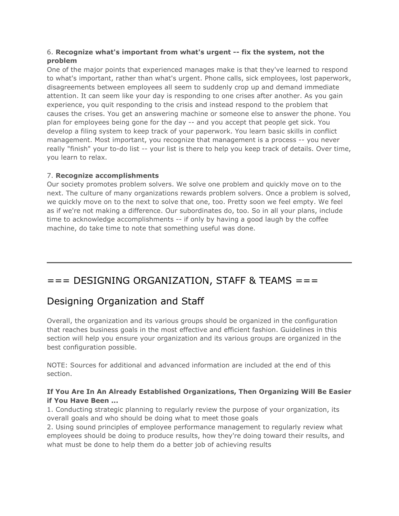# 6. **Recognize what's important from what's urgent -- fix the system, not the problem**

One of the major points that experienced manages make is that they've learned to respond to what's important, rather than what's urgent. Phone calls, sick employees, lost paperwork, disagreements between employees all seem to suddenly crop up and demand immediate attention. It can seem like your day is responding to one crises after another. As you gain experience, you quit responding to the crisis and instead respond to the problem that causes the crises. You get an answering machine or someone else to answer the phone. You plan for employees being gone for the day -- and you accept that people get sick. You develop a filing system to keep track of your paperwork. You learn basic skills in conflict management. Most important, you recognize that management is a process -- you never really "finish" your to-do list -- your list is there to help you keep track of details. Over time, you learn to relax.

# 7. **Recognize accomplishments**

Our society promotes problem solvers. We solve one problem and quickly move on to the next. The culture of many organizations rewards problem solvers. Once a problem is solved, we quickly move on to the next to solve that one, too. Pretty soon we feel empty. We feel as if we're not making a difference. Our subordinates do, too. So in all your plans, include time to acknowledge accomplishments -- if only by having a good laugh by the coffee machine, do take time to note that something useful was done.

# === DESIGNING ORGANIZATION, STAFF & TEAMS ===

# Designing Organization and Staff

Overall, the organization and its various groups should be organized in the configuration that reaches business goals in the most effective and efficient fashion. Guidelines in this section will help you ensure your organization and its various groups are organized in the best configuration possible.

NOTE: Sources for additional and advanced information are included at the end of this section.

# **If You Are In An Already Established Organizations, Then Organizing Will Be Easier if You Have Been ...**

1. Conducting strategic planning to regularly review the purpose of your organization, its overall goals and who should be doing what to meet those goals

2. Using sound principles of employee performance management to regularly review what employees should be doing to produce results, how they're doing toward their results, and what must be done to help them do a better job of achieving results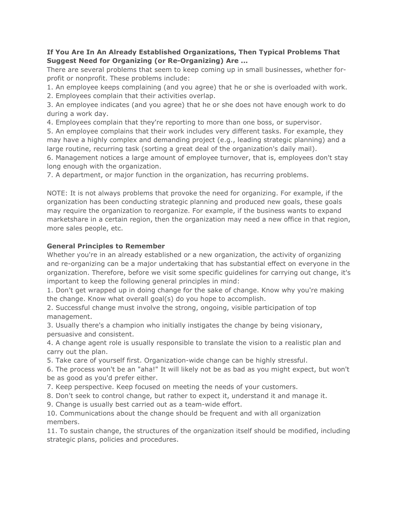# **If You Are In An Already Established Organizations, Then Typical Problems That Suggest Need for Organizing (or Re-Organizing) Are ...**

There are several problems that seem to keep coming up in small businesses, whether forprofit or nonprofit. These problems include:

1. An employee keeps complaining (and you agree) that he or she is overloaded with work.

2. Employees complain that their activities overlap.

3. An employee indicates (and you agree) that he or she does not have enough work to do during a work day.

4. Employees complain that they're reporting to more than one boss, or supervisor.

5. An employee complains that their work includes very different tasks. For example, they may have a highly complex and demanding project (e.g., leading strategic planning) and a large routine, recurring task (sorting a great deal of the organization's daily mail).

6. Management notices a large amount of employee turnover, that is, employees don't stay long enough with the organization.

7. A department, or major function in the organization, has recurring problems.

NOTE: It is not always problems that provoke the need for organizing. For example, if the organization has been conducting strategic planning and produced new goals, these goals may require the organization to reorganize. For example, if the business wants to expand marketshare in a certain region, then the organization may need a new office in that region, more sales people, etc.

# **General Principles to Remember**

Whether you're in an already established or a new organization, the activity of organizing and re-organizing can be a major undertaking that has substantial effect on everyone in the organization. Therefore, before we visit some specific guidelines for carrying out change, it's important to keep the following general principles in mind:

1. Don't get wrapped up in doing change for the sake of change. Know why you're making the change. Know what overall goal(s) do you hope to accomplish.

2. Successful change must involve the strong, ongoing, visible participation of top management.

3. Usually there's a champion who initially instigates the change by being visionary, persuasive and consistent.

4. A change agent role is usually responsible to translate the vision to a realistic plan and carry out the plan.

5. Take care of yourself first. Organization-wide change can be highly stressful.

6. The process won't be an "aha!" It will likely not be as bad as you might expect, but won't be as good as you'd prefer either.

7. Keep perspective. Keep focused on meeting the needs of your customers.

8. Don't seek to control change, but rather to expect it, understand it and manage it.

9. Change is usually best carried out as a team-wide effort.

10. Communications about the change should be frequent and with all organization members.

11. To sustain change, the structures of the organization itself should be modified, including strategic plans, policies and procedures.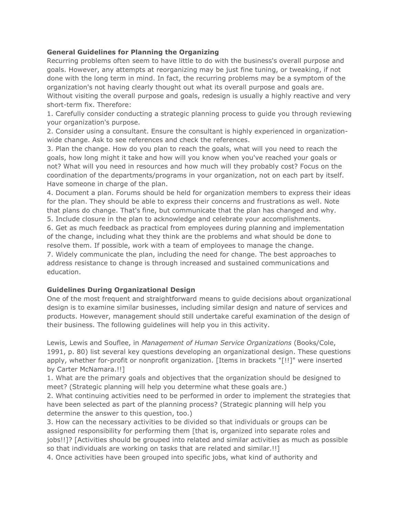## **General Guidelines for Planning the Organizing**

Recurring problems often seem to have little to do with the business's overall purpose and goals. However, any attempts at reorganizing may be just fine tuning, or tweaking, if not done with the long term in mind. In fact, the recurring problems may be a symptom of the organization's not having clearly thought out what its overall purpose and goals are. Without visiting the overall purpose and goals, redesign is usually a highly reactive and very short-term fix. Therefore:

1. Carefully consider conducting a strategic planning process to guide you through reviewing your organization's purpose.

2. Consider using a consultant. Ensure the consultant is highly experienced in organizationwide change. Ask to see references and check the references.

3. Plan the change. How do you plan to reach the goals, what will you need to reach the goals, how long might it take and how will you know when you've reached your goals or not? What will you need in resources and how much will they probably cost? Focus on the coordination of the departments/programs in your organization, not on each part by itself. Have someone in charge of the plan.

4. Document a plan. Forums should be held for organization members to express their ideas for the plan. They should be able to express their concerns and frustrations as well. Note that plans do change. That's fine, but communicate that the plan has changed and why.

5. Include closure in the plan to acknowledge and celebrate your accomplishments.

6. Get as much feedback as practical from employees during planning and implementation of the change, including what they think are the problems and what should be done to resolve them. If possible, work with a team of employees to manage the change. 7. Widely communicate the plan, including the need for change. The best approaches to

address resistance to change is through increased and sustained communications and education.

## **Guidelines During Organizational Design**

One of the most frequent and straightforward means to guide decisions about organizational design is to examine similar businesses, including similar design and nature of services and products. However, management should still undertake careful examination of the design of their business. The following guidelines will help you in this activity.

Lewis, Lewis and Souflee, in *Management of Human Service Organizations* (Books/Cole, 1991, p. 80) list several key questions developing an organizational design. These questions apply, whether for-profit or nonprofit organization. [Items in brackets "[!!]" were inserted by Carter McNamara.!!]

1. What are the primary goals and objectives that the organization should be designed to meet? (Strategic planning will help you determine what these goals are.)

2. What continuing activities need to be performed in order to implement the strategies that have been selected as part of the planning process? (Strategic planning will help you determine the answer to this question, too.)

3. How can the necessary activities to be divided so that individuals or groups can be assigned responsibility for performing them [that is, organized into separate roles and jobs!!]? [Activities should be grouped into related and similar activities as much as possible so that individuals are working on tasks that are related and similar.!!]

4. Once activities have been grouped into specific jobs, what kind of authority and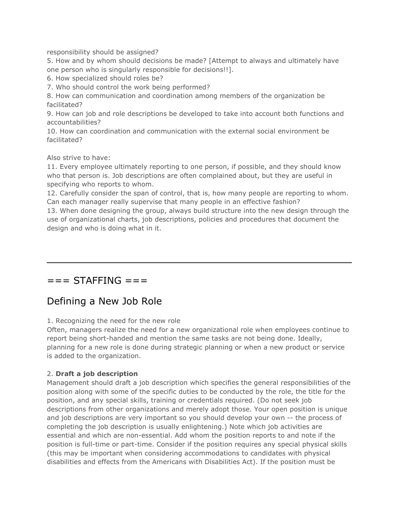responsibility should be assigned?

5. How and by whom should decisions be made? [Attempt to always and ultimately have one person who is singularly responsible for decisions!!].

6. How specialized should roles be?

7. Who should control the work being performed?

8. How can communication and coordination among members of the organization be facilitated?

9. How can job and role descriptions be developed to take into account both functions and accountabilities?

10. How can coordination and communication with the external social environment be facilitated?

Also strive to have:

11. Every employee ultimately reporting to one person, if possible, and they should know who that person is. Job descriptions are often complained about, but they are useful in specifying who reports to whom.

12. Carefully consider the span of control, that is, how many people are reporting to whom. Can each manager really supervise that many people in an effective fashion?

13. When done designing the group, always build structure into the new design through the use of organizational charts, job descriptions, policies and procedures that document the design and who is doing what in it.

# $==$  STAFFING  $==$

# Defining a New Job Role

1. Recognizing the need for the new role

Often, managers realize the need for a new organizational role when employees continue to report being short-handed and mention the same tasks are not being done. Ideally, planning for a new role is done during strategic planning or when a new product or service is added to the organization.

## 2. **Draft a job description**

Management should draft a job description which specifies the general responsibilities of the position along with some of the specific duties to be conducted by the role, the title for the position, and any special skills, training or credentials required. (Do not seek job descriptions from other organizations and merely adopt those. Your open position is unique and job descriptions are very important so you should develop your own -- the process of completing the job description is usually enlightening.) Note which job activities are essential and which are non-essential. Add whom the position reports to and note if the position is full-time or part-time. Consider if the position requires any special physical skills (this may be important when considering accommodations to candidates with physical disabilities and effects from the Americans with Disabilities Act). If the position must be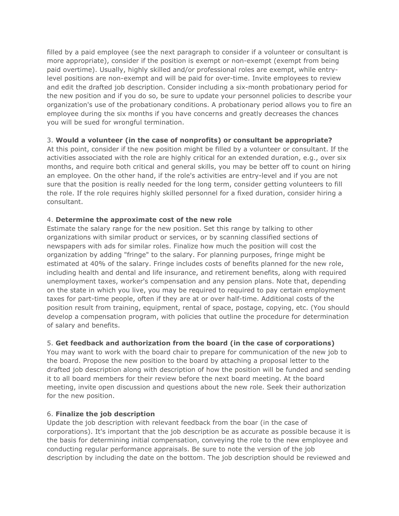filled by a paid employee (see the next paragraph to consider if a volunteer or consultant is more appropriate), consider if the position is exempt or non-exempt (exempt from being paid overtime). Usually, highly skilled and/or professional roles are exempt, while entrylevel positions are non-exempt and will be paid for over-time. Invite employees to review and edit the drafted job description. Consider including a six-month probationary period for the new position and if you do so, be sure to update your personnel policies to describe your organization's use of the probationary conditions. A probationary period allows you to fire an employee during the six months if you have concerns and greatly decreases the chances you will be sued for wrongful termination.

### 3. **Would a volunteer (in the case of nonprofits) or consultant be appropriate?**

At this point, consider if the new position might be filled by a volunteer or consultant. If the activities associated with the role are highly critical for an extended duration, e.g., over six months, and require both critical and general skills, you may be better off to count on hiring an employee. On the other hand, if the role's activities are entry-level and if you are not sure that the position is really needed for the long term, consider getting volunteers to fill the role. If the role requires highly skilled personnel for a fixed duration, consider hiring a consultant.

## 4. **Determine the approximate cost of the new role**

Estimate the salary range for the new position. Set this range by talking to other organizations with similar product or services, or by scanning classified sections of newspapers with ads for similar roles. Finalize how much the position will cost the organization by adding "fringe" to the salary. For planning purposes, fringe might be estimated at 40% of the salary. Fringe includes costs of benefits planned for the new role, including health and dental and life insurance, and retirement benefits, along with required unemployment taxes, worker's compensation and any pension plans. Note that, depending on the state in which you live, you may be required to required to pay certain employment taxes for part-time people, often if they are at or over half-time. Additional costs of the position result from training, equipment, rental of space, postage, copying, etc. (You should develop a compensation program, with policies that outline the procedure for determination of salary and benefits.

#### 5. **Get feedback and authorization from the board (in the case of corporations)**

You may want to work with the board chair to prepare for communication of the new job to the board. Propose the new position to the board by attaching a proposal letter to the drafted job description along with description of how the position will be funded and sending it to all board members for their review before the next board meeting. At the board meeting, invite open discussion and questions about the new role. Seek their authorization for the new position.

## 6. **Finalize the job description**

Update the job description with relevant feedback from the boar (in the case of corporations). It's important that the job description be as accurate as possible because it is the basis for determining initial compensation, conveying the role to the new employee and conducting regular performance appraisals. Be sure to note the version of the job description by including the date on the bottom. The job description should be reviewed and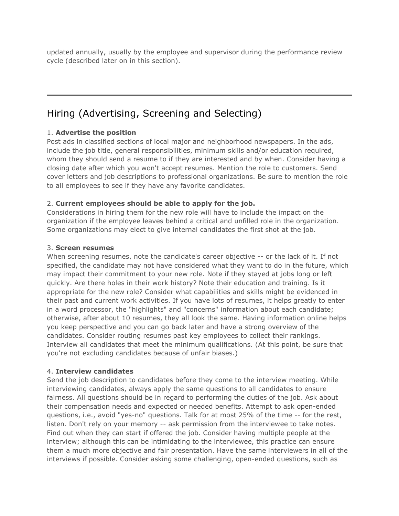updated annually, usually by the employee and supervisor during the performance review cycle (described later on in this section).

# Hiring (Advertising, Screening and Selecting)

# 1. **Advertise the position**

Post ads in classified sections of local major and neighborhood newspapers. In the ads, include the job title, general responsibilities, minimum skills and/or education required, whom they should send a resume to if they are interested and by when. Consider having a closing date after which you won't accept resumes. Mention the role to customers. Send cover letters and job descriptions to professional organizations. Be sure to mention the role to all employees to see if they have any favorite candidates.

# 2. **Current employees should be able to apply for the job.**

Considerations in hiring them for the new role will have to include the impact on the organization if the employee leaves behind a critical and unfilled role in the organization. Some organizations may elect to give internal candidates the first shot at the job.

### 3. **Screen resumes**

When screening resumes, note the candidate's career objective -- or the lack of it. If not specified, the candidate may not have considered what they want to do in the future, which may impact their commitment to your new role. Note if they stayed at jobs long or left quickly. Are there holes in their work history? Note their education and training. Is it appropriate for the new role? Consider what capabilities and skills might be evidenced in their past and current work activities. If you have lots of resumes, it helps greatly to enter in a word processor, the "highlights" and "concerns" information about each candidate; otherwise, after about 10 resumes, they all look the same. Having information online helps you keep perspective and you can go back later and have a strong overview of the candidates. Consider routing resumes past key employees to collect their rankings. Interview all candidates that meet the minimum qualifications. (At this point, be sure that you're not excluding candidates because of unfair biases.)

## 4. **Interview candidates**

Send the job description to candidates before they come to the interview meeting. While interviewing candidates, always apply the same questions to all candidates to ensure fairness. All questions should be in regard to performing the duties of the job. Ask about their compensation needs and expected or needed benefits. Attempt to ask open-ended questions, i.e., avoid "yes-no" questions. Talk for at most 25% of the time -- for the rest, listen. Don't rely on your memory -- ask permission from the interviewee to take notes. Find out when they can start if offered the job. Consider having multiple people at the interview; although this can be intimidating to the interviewee, this practice can ensure them a much more objective and fair presentation. Have the same interviewers in all of the interviews if possible. Consider asking some challenging, open-ended questions, such as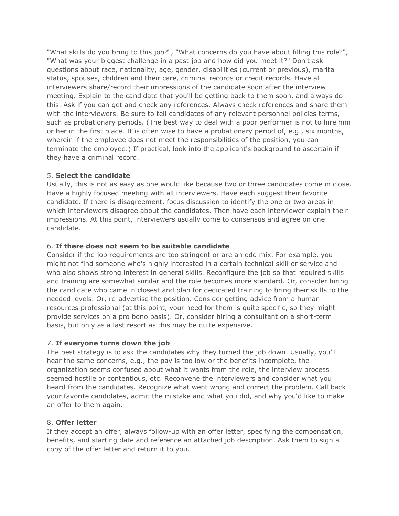"What skills do you bring to this job?", "What concerns do you have about filling this role?", "What was your biggest challenge in a past job and how did you meet it?" Don't ask questions about race, nationality, age, gender, disabilities (current or previous), marital status, spouses, children and their care, criminal records or credit records. Have all interviewers share/record their impressions of the candidate soon after the interview meeting. Explain to the candidate that you'll be getting back to them soon, and always do this. Ask if you can get and check any references. Always check references and share them with the interviewers. Be sure to tell candidates of any relevant personnel policies terms, such as probationary periods. (The best way to deal with a poor performer is not to hire him or her in the first place. It is often wise to have a probationary period of, e.g., six months, wherein if the employee does not meet the responsibilities of the position, you can terminate the employee.) If practical, look into the applicant's background to ascertain if they have a criminal record.

## 5. **Select the candidate**

Usually, this is not as easy as one would like because two or three candidates come in close. Have a highly focused meeting with all interviewers. Have each suggest their favorite candidate. If there is disagreement, focus discussion to identify the one or two areas in which interviewers disagree about the candidates. Then have each interviewer explain their impressions. At this point, interviewers usually come to consensus and agree on one candidate.

### 6. **If there does not seem to be suitable candidate**

Consider if the job requirements are too stringent or are an odd mix. For example, you might not find someone who's highly interested in a certain technical skill or service and who also shows strong interest in general skills. Reconfigure the job so that required skills and training are somewhat similar and the role becomes more standard. Or, consider hiring the candidate who came in closest and plan for dedicated training to bring their skills to the needed levels. Or, re-advertise the position. Consider getting advice from a human resources professional (at this point, your need for them is quite specific, so they might provide services on a pro bono basis). Or, consider hiring a consultant on a short-term basis, but only as a last resort as this may be quite expensive.

#### 7. **If everyone turns down the job**

The best strategy is to ask the candidates why they turned the job down. Usually, you'll hear the same concerns, e.g., the pay is too low or the benefits incomplete, the organization seems confused about what it wants from the role, the interview process seemed hostile or contentious, etc. Reconvene the interviewers and consider what you heard from the candidates. Recognize what went wrong and correct the problem. Call back your favorite candidates, admit the mistake and what you did, and why you'd like to make an offer to them again.

#### 8. **Offer letter**

If they accept an offer, always follow-up with an offer letter, specifying the compensation, benefits, and starting date and reference an attached job description. Ask them to sign a copy of the offer letter and return it to you.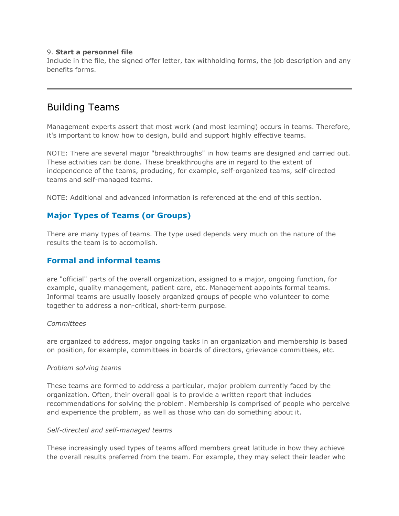#### 9. **Start a personnel file**

Include in the file, the signed offer letter, tax withholding forms, the job description and any benefits forms.

# Building Teams

Management experts assert that most work (and most learning) occurs in teams. Therefore, it's important to know how to design, build and support highly effective teams.

NOTE: There are several major "breakthroughs" in how teams are designed and carried out. These activities can be done. These breakthroughs are in regard to the extent of independence of the teams, producing, for example, self-organized teams, self-directed teams and self-managed teams.

NOTE: Additional and advanced information is referenced at the end of this section.

# **Major Types of Teams (or Groups)**

There are many types of teams. The type used depends very much on the nature of the results the team is to accomplish.

# **Formal and informal teams**

are "official" parts of the overall organization, assigned to a major, ongoing function, for example, quality management, patient care, etc. Management appoints formal teams. Informal teams are usually loosely organized groups of people who volunteer to come together to address a non-critical, short-term purpose.

#### *Committees*

are organized to address, major ongoing tasks in an organization and membership is based on position, for example, committees in boards of directors, grievance committees, etc.

#### *Problem solving teams*

These teams are formed to address a particular, major problem currently faced by the organization. Often, their overall goal is to provide a written report that includes recommendations for solving the problem. Membership is comprised of people who perceive and experience the problem, as well as those who can do something about it.

#### *Self-directed and self-managed teams*

These increasingly used types of teams afford members great latitude in how they achieve the overall results preferred from the team. For example, they may select their leader who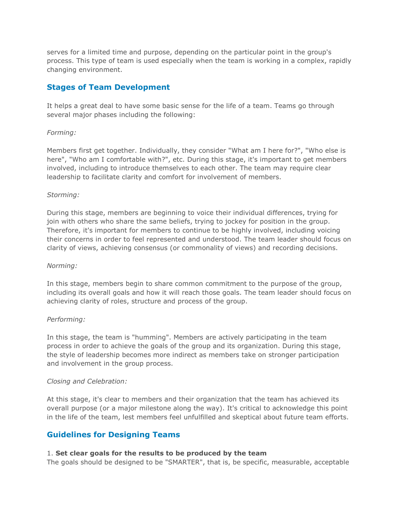serves for a limited time and purpose, depending on the particular point in the group's process. This type of team is used especially when the team is working in a complex, rapidly changing environment.

# **Stages of Team Development**

It helps a great deal to have some basic sense for the life of a team. Teams go through several major phases including the following:

## *Forming:*

Members first get together. Individually, they consider "What am I here for?", "Who else is here", "Who am I comfortable with?", etc. During this stage, it's important to get members involved, including to introduce themselves to each other. The team may require clear leadership to facilitate clarity and comfort for involvement of members.

### *Storming:*

During this stage, members are beginning to voice their individual differences, trying for join with others who share the same beliefs, trying to jockey for position in the group. Therefore, it's important for members to continue to be highly involved, including voicing their concerns in order to feel represented and understood. The team leader should focus on clarity of views, achieving consensus (or commonality of views) and recording decisions.

#### *Norming:*

In this stage, members begin to share common commitment to the purpose of the group, including its overall goals and how it will reach those goals. The team leader should focus on achieving clarity of roles, structure and process of the group.

## *Performing:*

In this stage, the team is "humming". Members are actively participating in the team process in order to achieve the goals of the group and its organization. During this stage, the style of leadership becomes more indirect as members take on stronger participation and involvement in the group process.

## *Closing and Celebration:*

At this stage, it's clear to members and their organization that the team has achieved its overall purpose (or a major milestone along the way). It's critical to acknowledge this point in the life of the team, lest members feel unfulfilled and skeptical about future team efforts.

# **Guidelines for Designing Teams**

## 1. **Set clear goals for the results to be produced by the team**

The goals should be designed to be "SMARTER", that is, be specific, measurable, acceptable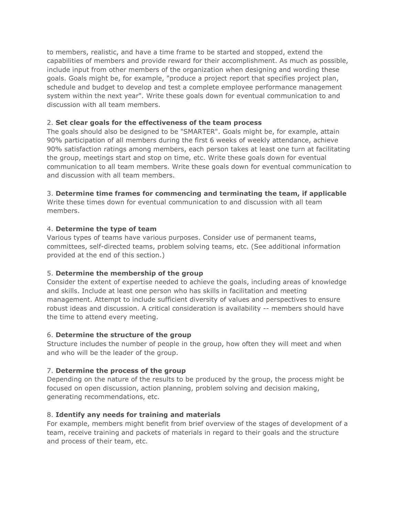to members, realistic, and have a time frame to be started and stopped, extend the capabilities of members and provide reward for their accomplishment. As much as possible, include input from other members of the organization when designing and wording these goals. Goals might be, for example, "produce a project report that specifies project plan, schedule and budget to develop and test a complete employee performance management system within the next year". Write these goals down for eventual communication to and discussion with all team members.

#### 2. **Set clear goals for the effectiveness of the team process**

The goals should also be designed to be "SMARTER". Goals might be, for example, attain 90% participation of all members during the first 6 weeks of weekly attendance, achieve 90% satisfaction ratings among members, each person takes at least one turn at facilitating the group, meetings start and stop on time, etc. Write these goals down for eventual communication to all team members. Write these goals down for eventual communication to and discussion with all team members.

## 3. **Determine time frames for commencing and terminating the team, if applicable**

Write these times down for eventual communication to and discussion with all team members.

### 4. **Determine the type of team**

Various types of teams have various purposes. Consider use of permanent teams, committees, self-directed teams, problem solving teams, etc. (See additional information provided at the end of this section.)

## 5. **Determine the membership of the group**

Consider the extent of expertise needed to achieve the goals, including areas of knowledge and skills. Include at least one person who has skills in facilitation and meeting management. Attempt to include sufficient diversity of values and perspectives to ensure robust ideas and discussion. A critical consideration is availability -- members should have the time to attend every meeting.

#### 6. **Determine the structure of the group**

Structure includes the number of people in the group, how often they will meet and when and who will be the leader of the group.

## 7. **Determine the process of the group**

Depending on the nature of the results to be produced by the group, the process might be focused on open discussion, action planning, problem solving and decision making, generating recommendations, etc.

## 8. **Identify any needs for training and materials**

For example, members might benefit from brief overview of the stages of development of a team, receive training and packets of materials in regard to their goals and the structure and process of their team, etc.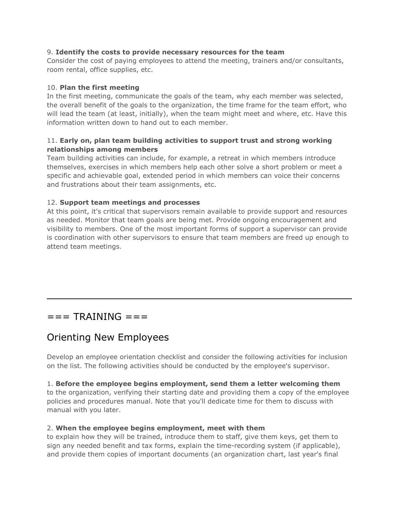## 9. **Identify the costs to provide necessary resources for the team**

Consider the cost of paying employees to attend the meeting, trainers and/or consultants, room rental, office supplies, etc.

### 10. **Plan the first meeting**

In the first meeting, communicate the goals of the team, why each member was selected, the overall benefit of the goals to the organization, the time frame for the team effort, who will lead the team (at least, initially), when the team might meet and where, etc. Have this information written down to hand out to each member.

## 11. **Early on, plan team building activities to support trust and strong working relationships among members**

Team building activities can include, for example, a retreat in which members introduce themselves, exercises in which members help each other solve a short problem or meet a specific and achievable goal, extended period in which members can voice their concerns and frustrations about their team assignments, etc.

## 12. **Support team meetings and processes**

At this point, it's critical that supervisors remain available to provide support and resources as needed. Monitor that team goals are being met. Provide ongoing encouragement and visibility to members. One of the most important forms of support a supervisor can provide is coordination with other supervisors to ensure that team members are freed up enough to attend team meetings.

# $=$  =  $=$  TRAINING  $=$  =  $=$

# Orienting New Employees

Develop an employee orientation checklist and consider the following activities for inclusion on the list. The following activities should be conducted by the employee's supervisor.

## 1. **Before the employee begins employment, send them a letter welcoming them**

to the organization, verifying their starting date and providing them a copy of the employee policies and procedures manual. Note that you'll dedicate time for them to discuss with manual with you later.

#### 2. **When the employee begins employment, meet with them**

to explain how they will be trained, introduce them to staff, give them keys, get them to sign any needed benefit and tax forms, explain the time-recording system (if applicable), and provide them copies of important documents (an organization chart, last year's final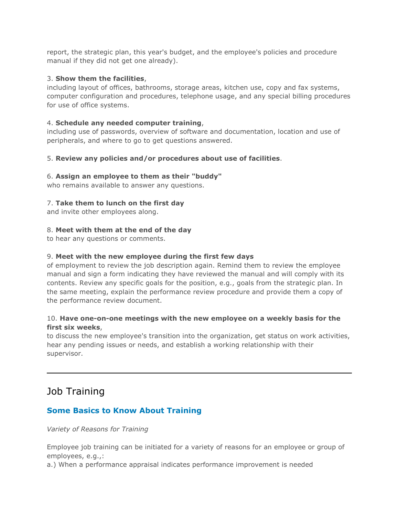report, the strategic plan, this year's budget, and the employee's policies and procedure manual if they did not get one already).

#### 3. **Show them the facilities**,

including layout of offices, bathrooms, storage areas, kitchen use, copy and fax systems, computer configuration and procedures, telephone usage, and any special billing procedures for use of office systems.

### 4. **Schedule any needed computer training**,

including use of passwords, overview of software and documentation, location and use of peripherals, and where to go to get questions answered.

### 5. **Review any policies and/or procedures about use of facilities**.

#### 6. **Assign an employee to them as their "buddy"**

who remains available to answer any questions.

### 7. **Take them to lunch on the first day**

and invite other employees along.

### 8. **Meet with them at the end of the day**

to hear any questions or comments.

#### 9. **Meet with the new employee during the first few days**

of employment to review the job description again. Remind them to review the employee manual and sign a form indicating they have reviewed the manual and will comply with its contents. Review any specific goals for the position, e.g., goals from the strategic plan. In the same meeting, explain the performance review procedure and provide them a copy of the performance review document.

### 10. **Have one-on-one meetings with the new employee on a weekly basis for the first six weeks**,

to discuss the new employee's transition into the organization, get status on work activities, hear any pending issues or needs, and establish a working relationship with their supervisor.

# Job Training

# **Some Basics to Know About Training**

*Variety of Reasons for Training*

Employee job training can be initiated for a variety of reasons for an employee or group of employees, e.g.,:

a.) When a performance appraisal indicates performance improvement is needed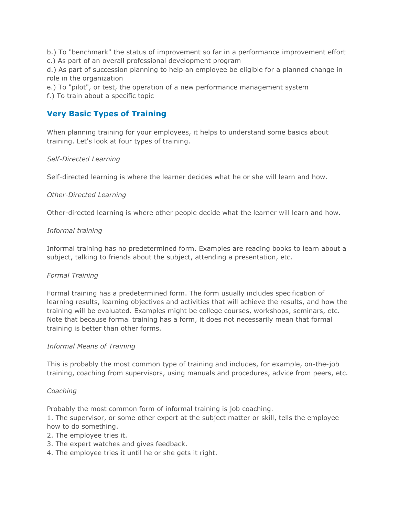b.) To "benchmark" the status of improvement so far in a performance improvement effort

c.) As part of an overall professional development program

d.) As part of succession planning to help an employee be eligible for a planned change in role in the organization

e.) To "pilot", or test, the operation of a new performance management system

f.) To train about a specific topic

# **Very Basic Types of Training**

When planning training for your employees, it helps to understand some basics about training. Let's look at four types of training.

## *Self-Directed Learning*

Self-directed learning is where the learner decides what he or she will learn and how.

# *Other-Directed Learning*

Other-directed learning is where other people decide what the learner will learn and how.

## *Informal training*

Informal training has no predetermined form. Examples are reading books to learn about a subject, talking to friends about the subject, attending a presentation, etc.

## *Formal Training*

Formal training has a predetermined form. The form usually includes specification of learning results, learning objectives and activities that will achieve the results, and how the training will be evaluated. Examples might be college courses, workshops, seminars, etc. Note that because formal training has a form, it does not necessarily mean that formal training is better than other forms.

## *Informal Means of Training*

This is probably the most common type of training and includes, for example, on-the-job training, coaching from supervisors, using manuals and procedures, advice from peers, etc.

## *Coaching*

Probably the most common form of informal training is job coaching.

1. The supervisor, or some other expert at the subject matter or skill, tells the employee how to do something.

- 2. The employee tries it.
- 3. The expert watches and gives feedback.
- 4. The employee tries it until he or she gets it right.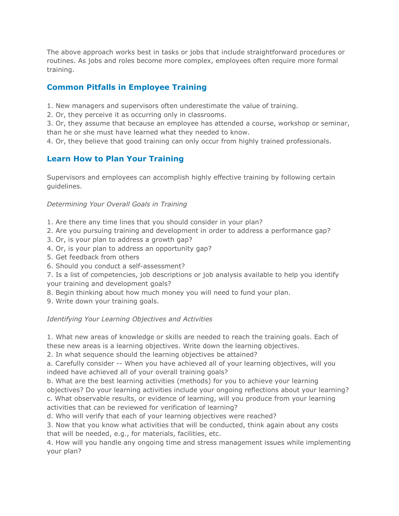The above approach works best in tasks or jobs that include straightforward procedures or routines. As jobs and roles become more complex, employees often require more formal training.

# **Common Pitfalls in Employee Training**

1. New managers and supervisors often underestimate the value of training.

2. Or, they perceive it as occurring only in classrooms.

3. Or, they assume that because an employee has attended a course, workshop or seminar, than he or she must have learned what they needed to know.

4. Or, they believe that good training can only occur from highly trained professionals.

# **Learn How to Plan Your Training**

Supervisors and employees can accomplish highly effective training by following certain guidelines.

# *Determining Your Overall Goals in Training*

- 1. Are there any time lines that you should consider in your plan?
- 2. Are you pursuing training and development in order to address a performance gap?
- 3. Or, is your plan to address a growth gap?
- 4. Or, is your plan to address an opportunity gap?
- 5. Get feedback from others
- 6. Should you conduct a self-assessment?

7. Is a list of competencies, job descriptions or job analysis available to help you identify your training and development goals?

8. Begin thinking about how much money you will need to fund your plan.

9. Write down your training goals.

# *Identifying Your Learning Objectives and Activities*

1. What new areas of knowledge or skills are needed to reach the training goals. Each of these new areas is a learning objectives. Write down the learning objectives.

2. In what sequence should the learning objectives be attained?

a. Carefully consider -- When you have achieved all of your learning objectives, will you indeed have achieved all of your overall training goals?

b. What are the best learning activities (methods) for you to achieve your learning objectives? Do your learning activities include your ongoing reflections about your learning? c. What observable results, or evidence of learning, will you produce from your learning activities that can be reviewed for verification of learning?

d. Who will verify that each of your learning objectives were reached?

3. Now that you know what activities that will be conducted, think again about any costs that will be needed, e.g., for materials, facilities, etc.

4. How will you handle any ongoing time and stress management issues while implementing your plan?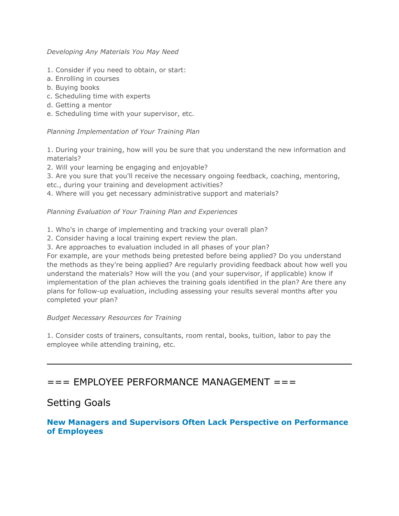## *Developing Any Materials You May Need*

- 1. Consider if you need to obtain, or start:
- a. Enrolling in courses
- b. Buying books
- c. Scheduling time with experts
- d. Getting a mentor
- e. Scheduling time with your supervisor, etc.

## *Planning Implementation of Your Training Plan*

1. During your training, how will you be sure that you understand the new information and materials?

2. Will your learning be engaging and enjoyable?

3. Are you sure that you'll receive the necessary ongoing feedback, coaching, mentoring, etc., during your training and development activities?

4. Where will you get necessary administrative support and materials?

# *Planning Evaluation of Your Training Plan and Experiences*

1. Who's in charge of implementing and tracking your overall plan?

2. Consider having a local training expert review the plan.

3. Are approaches to evaluation included in all phases of your plan?

For example, are your methods being pretested before being applied? Do you understand the methods as they're being applied? Are regularly providing feedback about how well you understand the materials? How will the you (and your supervisor, if applicable) know if implementation of the plan achieves the training goals identified in the plan? Are there any plans for follow-up evaluation, including assessing your results several months after you completed your plan?

## *Budget Necessary Resources for Training*

1. Consider costs of trainers, consultants, room rental, books, tuition, labor to pay the employee while attending training, etc.

# $==$  EMPLOYEE PERFORMANCE MANAGEMENT  $==$

# Setting Goals

# **New Managers and Supervisors Often Lack Perspective on Performance of Employees**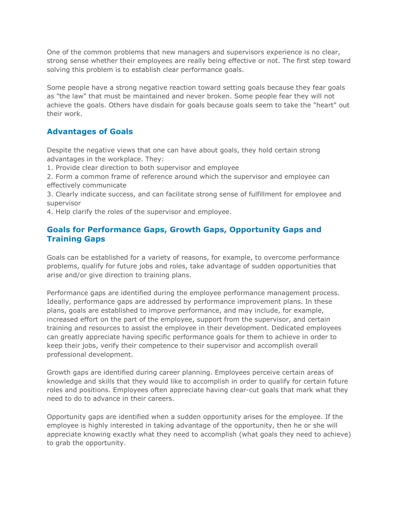One of the common problems that new managers and supervisors experience is no clear, strong sense whether their employees are really being effective or not. The first step toward solving this problem is to establish clear performance goals.

Some people have a strong negative reaction toward setting goals because they fear goals as "the law" that must be maintained and never broken. Some people fear they will not achieve the goals. Others have disdain for goals because goals seem to take the "heart" out their work.

# **Advantages of Goals**

Despite the negative views that one can have about goals, they hold certain strong advantages in the workplace. They:

1. Provide clear direction to both supervisor and employee

2. Form a common frame of reference around which the supervisor and employee can effectively communicate

3. Clearly indicate success, and can facilitate strong sense of fulfillment for employee and supervisor

4. Help clarify the roles of the supervisor and employee.

# **Goals for Performance Gaps, Growth Gaps, Opportunity Gaps and Training Gaps**

Goals can be established for a variety of reasons, for example, to overcome performance problems, qualify for future jobs and roles, take advantage of sudden opportunities that arise and/or give direction to training plans.

Performance gaps are identified during the employee performance management process. Ideally, performance gaps are addressed by performance improvement plans. In these plans, goals are established to improve performance, and may include, for example, increased effort on the part of the employee, support from the supervisor, and certain training and resources to assist the employee in their development. Dedicated employees can greatly appreciate having specific performance goals for them to achieve in order to keep their jobs, verify their competence to their supervisor and accomplish overall professional development.

Growth gaps are identified during career planning. Employees perceive certain areas of knowledge and skills that they would like to accomplish in order to qualify for certain future roles and positions. Employees often appreciate having clear-cut goals that mark what they need to do to advance in their careers.

Opportunity gaps are identified when a sudden opportunity arises for the employee. If the employee is highly interested in taking advantage of the opportunity, then he or she will appreciate knowing exactly what they need to accomplish (what goals they need to achieve) to grab the opportunity.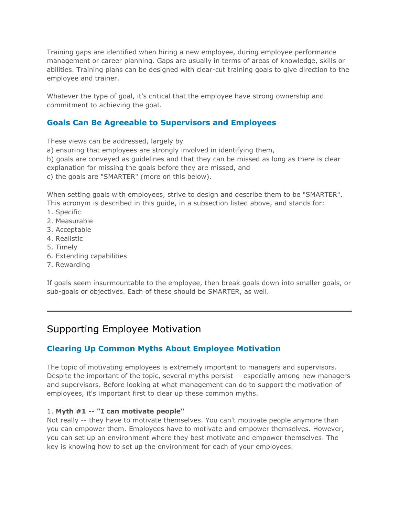Training gaps are identified when hiring a new employee, during employee performance management or career planning. Gaps are usually in terms of areas of knowledge, skills or abilities. Training plans can be designed with clear-cut training goals to give direction to the employee and trainer.

Whatever the type of goal, it's critical that the employee have strong ownership and commitment to achieving the goal.

# **Goals Can Be Agreeable to Supervisors and Employees**

These views can be addressed, largely by

a) ensuring that employees are strongly involved in identifying them,

b) goals are conveyed as guidelines and that they can be missed as long as there is clear explanation for missing the goals before they are missed, and

c) the goals are "SMARTER" (more on this below).

When setting goals with employees, strive to design and describe them to be "SMARTER". This acronym is described in this guide, in a subsection listed above, and stands for:

- 1. Specific
- 2. Measurable
- 3. Acceptable
- 4. Realistic
- 5. Timely
- 6. Extending capabilities
- 7. Rewarding

If goals seem insurmountable to the employee, then break goals down into smaller goals, or sub-goals or objectives. Each of these should be SMARTER, as well.

# Supporting Employee Motivation

# **Clearing Up Common Myths About Employee Motivation**

The topic of motivating employees is extremely important to managers and supervisors. Despite the important of the topic, several myths persist -- especially among new managers and supervisors. Before looking at what management can do to support the motivation of employees, it's important first to clear up these common myths.

#### 1. **Myth #1 -- "I can motivate people"**

Not really -- they have to motivate themselves. You can't motivate people anymore than you can empower them. Employees have to motivate and empower themselves. However, you can set up an environment where they best motivate and empower themselves. The key is knowing how to set up the environment for each of your employees.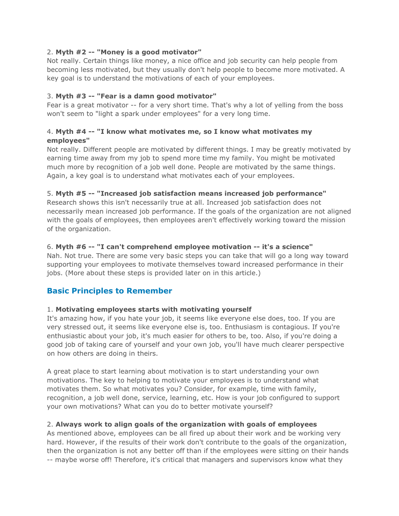## 2. **Myth #2 -- "Money is a good motivator"**

Not really. Certain things like money, a nice office and job security can help people from becoming less motivated, but they usually don't help people to become more motivated. A key goal is to understand the motivations of each of your employees.

### 3. **Myth #3 -- "Fear is a damn good motivator"**

Fear is a great motivator -- for a very short time. That's why a lot of yelling from the boss won't seem to "light a spark under employees" for a very long time.

## 4. **Myth #4 -- "I know what motivates me, so I know what motivates my employees"**

Not really. Different people are motivated by different things. I may be greatly motivated by earning time away from my job to spend more time my family. You might be motivated much more by recognition of a job well done. People are motivated by the same things. Again, a key goal is to understand what motivates each of your employees.

## 5. **Myth #5 -- "Increased job satisfaction means increased job performance"**

Research shows this isn't necessarily true at all. Increased job satisfaction does not necessarily mean increased job performance. If the goals of the organization are not aligned with the goals of employees, then employees aren't effectively working toward the mission of the organization.

### 6. **Myth #6 -- "I can't comprehend employee motivation -- it's a science"**

Nah. Not true. There are some very basic steps you can take that will go a long way toward supporting your employees to motivate themselves toward increased performance in their jobs. (More about these steps is provided later on in this article.)

# **Basic Principles to Remember**

#### 1. **Motivating employees starts with motivating yourself**

It's amazing how, if you hate your job, it seems like everyone else does, too. If you are very stressed out, it seems like everyone else is, too. Enthusiasm is contagious. If you're enthusiastic about your job, it's much easier for others to be, too. Also, if you're doing a good job of taking care of yourself and your own job, you'll have much clearer perspective on how others are doing in theirs.

A great place to start learning about motivation is to start understanding your own motivations. The key to helping to motivate your employees is to understand what motivates them. So what motivates you? Consider, for example, time with family, recognition, a job well done, service, learning, etc. How is your job configured to support your own motivations? What can you do to better motivate yourself?

#### 2. **Always work to align goals of the organization with goals of employees**

As mentioned above, employees can be all fired up about their work and be working very hard. However, if the results of their work don't contribute to the goals of the organization, then the organization is not any better off than if the employees were sitting on their hands -- maybe worse off! Therefore, it's critical that managers and supervisors know what they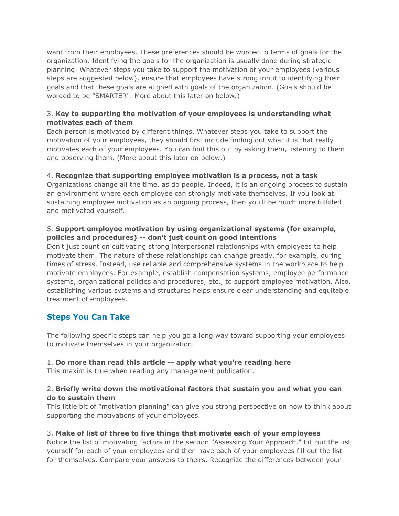want from their employees. These preferences should be worded in terms of goals for the organization. Identifying the goals for the organization is usually done during strategic planning. Whatever steps you take to support the motivation of your employees (various steps are suggested below), ensure that employees have strong input to identifying their goals and that these goals are aligned with goals of the organization. (Goals should be worded to be "SMARTER". More about this later on below.)

## 3. **Key to supporting the motivation of your employees is understanding what motivates each of them**

Each person is motivated by different things. Whatever steps you take to support the motivation of your employees, they should first include finding out what it is that really motivates each of your employees. You can find this out by asking them, listening to them and observing them. (More about this later on below.)

# 4. **Recognize that supporting employee motivation is a process, not a task**

Organizations change all the time, as do people. Indeed, it is an ongoing process to sustain an environment where each employee can strongly motivate themselves. If you look at sustaining employee motivation as an ongoing process, then you'll be much more fulfilled and motivated yourself.

## 5. **Support employee motivation by using organizational systems (for example, policies and procedures) -- don't just count on good intentions**

Don't just count on cultivating strong interpersonal relationships with employees to help motivate them. The nature of these relationships can change greatly, for example, during times of stress. Instead, use reliable and comprehensive systems in the workplace to help motivate employees. For example, establish compensation systems, employee performance systems, organizational policies and procedures, etc., to support employee motivation. Also, establishing various systems and structures helps ensure clear understanding and equitable treatment of employees.

# **Steps You Can Take**

The following specific steps can help you go a long way toward supporting your employees to motivate themselves in your organization.

## 1. **Do more than read this article -- apply what you're reading here**

This maxim is true when reading any management publication.

## 2. **Briefly write down the motivational factors that sustain you and what you can do to sustain them**

This little bit of "motivation planning" can give you strong perspective on how to think about supporting the motivations of your employees.

# 3. **Make of list of three to five things that motivate each of your employees**

Notice the list of motivating factors in the section "Assessing Your Approach." Fill out the list yourself for each of your employees and then have each of your employees fill out the list for themselves. Compare your answers to theirs. Recognize the differences between your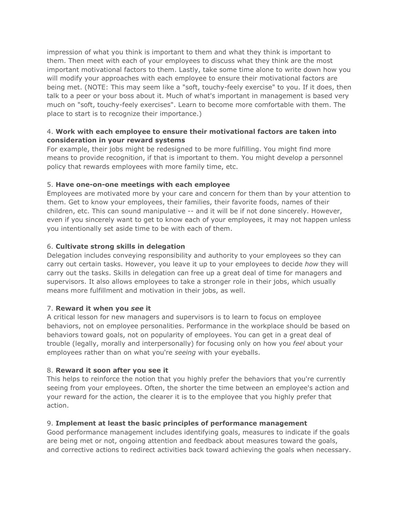impression of what you think is important to them and what they think is important to them. Then meet with each of your employees to discuss what they think are the most important motivational factors to them. Lastly, take some time alone to write down how you will modify your approaches with each employee to ensure their motivational factors are being met. (NOTE: This may seem like a "soft, touchy-feely exercise" to you. If it does, then talk to a peer or your boss about it. Much of what's important in management is based very much on "soft, touchy-feely exercises". Learn to become more comfortable with them. The place to start is to recognize their importance.)

## 4. **Work with each employee to ensure their motivational factors are taken into consideration in your reward systems**

For example, their jobs might be redesigned to be more fulfilling. You might find more means to provide recognition, if that is important to them. You might develop a personnel policy that rewards employees with more family time, etc.

## 5. **Have one-on-one meetings with each employee**

Employees are motivated more by your care and concern for them than by your attention to them. Get to know your employees, their families, their favorite foods, names of their children, etc. This can sound manipulative -- and it will be if not done sincerely. However, even if you sincerely want to get to know each of your employees, it may not happen unless you intentionally set aside time to be with each of them.

### 6. **Cultivate strong skills in delegation**

Delegation includes conveying responsibility and authority to your employees so they can carry out certain tasks. However, you leave it up to your employees to decide *how* they will carry out the tasks. Skills in delegation can free up a great deal of time for managers and supervisors. It also allows employees to take a stronger role in their jobs, which usually means more fulfillment and motivation in their jobs, as well.

#### 7. **Reward it when you** *see* **it**

A critical lesson for new managers and supervisors is to learn to focus on employee behaviors, not on employee personalities. Performance in the workplace should be based on behaviors toward goals, not on popularity of employees. You can get in a great deal of trouble (legally, morally and interpersonally) for focusing only on how you *feel* about your employees rather than on what you're *seeing* with your eyeballs.

## 8. **Reward it soon after you see it**

This helps to reinforce the notion that you highly prefer the behaviors that you're currently seeing from your employees. Often, the shorter the time between an employee's action and your reward for the action, the clearer it is to the employee that you highly prefer that action.

#### 9. **Implement at least the basic principles of performance management**

Good performance management includes identifying goals, measures to indicate if the goals are being met or not, ongoing attention and feedback about measures toward the goals, and corrective actions to redirect activities back toward achieving the goals when necessary.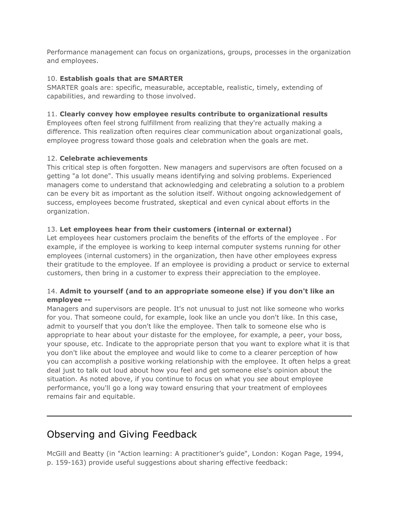Performance management can focus on organizations, groups, processes in the organization and employees.

#### 10. **Establish goals that are SMARTER**

SMARTER goals are: specific, measurable, acceptable, realistic, timely, extending of capabilities, and rewarding to those involved.

## 11. **Clearly convey how employee results contribute to organizational results**

Employees often feel strong fulfillment from realizing that they're actually making a difference. This realization often requires clear communication about organizational goals, employee progress toward those goals and celebration when the goals are met.

### 12. **Celebrate achievements**

This critical step is often forgotten. New managers and supervisors are often focused on a getting "a lot done". This usually means identifying and solving problems. Experienced managers come to understand that acknowledging and celebrating a solution to a problem can be every bit as important as the solution itself. Without ongoing acknowledgement of success, employees become frustrated, skeptical and even cynical about efforts in the organization.

### 13. **Let employees hear from their customers (internal or external)**

Let employees hear customers proclaim the benefits of the efforts of the employee . For example, if the employee is working to keep internal computer systems running for other employees (internal customers) in the organization, then have other employees express their gratitude to the employee. If an employee is providing a product or service to external customers, then bring in a customer to express their appreciation to the employee.

## 14. **Admit to yourself (and to an appropriate someone else) if you don't like an employee --**

Managers and supervisors are people. It's not unusual to just not like someone who works for you. That someone could, for example, look like an uncle you don't like. In this case, admit to yourself that you don't like the employee. Then talk to someone else who is appropriate to hear about your distaste for the employee, for example, a peer, your boss, your spouse, etc. Indicate to the appropriate person that you want to explore what it is that you don't like about the employee and would like to come to a clearer perception of how you can accomplish a positive working relationship with the employee. It often helps a great deal just to talk out loud about how you feel and get someone else's opinion about the situation. As noted above, if you continue to focus on what you *see* about employee performance, you'll go a long way toward ensuring that your treatment of employees remains fair and equitable.

# Observing and Giving Feedback

McGill and Beatty (in "Action learning: A practitioner's guide", London: Kogan Page, 1994, p. 159-163) provide useful suggestions about sharing effective feedback: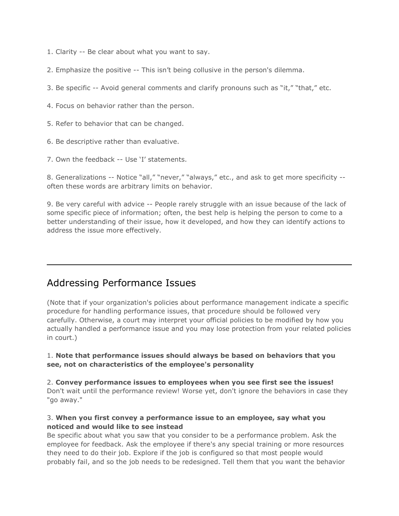- 1. Clarity -- Be clear about what you want to say.
- 2. Emphasize the positive -- This isn't being collusive in the person's dilemma.
- 3. Be specific -- Avoid general comments and clarify pronouns such as "it," "that," etc.
- 4. Focus on behavior rather than the person.
- 5. Refer to behavior that can be changed.
- 6. Be descriptive rather than evaluative.
- 7. Own the feedback -- Use 'I' statements.

8. Generalizations -- Notice "all," "never," "always," etc., and ask to get more specificity -often these words are arbitrary limits on behavior.

9. Be very careful with advice -- People rarely struggle with an issue because of the lack of some specific piece of information; often, the best help is helping the person to come to a better understanding of their issue, how it developed, and how they can identify actions to address the issue more effectively.

# Addressing Performance Issues

(Note that if your organization's policies about performance management indicate a specific procedure for handling performance issues, that procedure should be followed very carefully. Otherwise, a court may interpret your official policies to be modified by how you actually handled a performance issue and you may lose protection from your related policies in court.)

### 1. **Note that performance issues should always be based on behaviors that you see, not on characteristics of the employee's personality**

2. **Convey performance issues to employees when you see first see the issues!** Don't wait until the performance review! Worse yet, don't ignore the behaviors in case they "go away."

## 3. **When you first convey a performance issue to an employee, say what you noticed and would like to see instead**

Be specific about what you saw that you consider to be a performance problem. Ask the employee for feedback. Ask the employee if there's any special training or more resources they need to do their job. Explore if the job is configured so that most people would probably fail, and so the job needs to be redesigned. Tell them that you want the behavior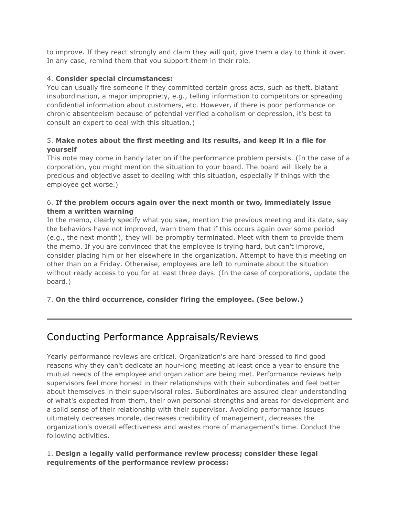to improve. If they react strongly and claim they will quit, give them a day to think it over. In any case, remind them that you support them in their role.

# 4. **Consider special circumstances:**

You can usually fire someone if they committed certain gross acts, such as theft, blatant insubordination, a major impropriety, e.g., telling information to competitors or spreading confidential information about customers, etc. However, if there is poor performance or chronic absenteeism because of potential verified alcoholism or depression, it's best to consult an expert to deal with this situation.)

# 5. **Make notes about the first meeting and its results, and keep it in a file for yourself**

This note may come in handy later on if the performance problem persists. (In the case of a corporation, you might mention the situation to your board. The board will likely be a precious and objective asset to dealing with this situation, especially if things with the employee get worse.)

# 6. **If the problem occurs again over the next month or two, immediately issue them a written warning**

In the memo, clearly specify what you saw, mention the previous meeting and its date, say the behaviors have not improved, warn them that if this occurs again over some period (e.g., the next month), they will be promptly terminated. Meet with them to provide them the memo. If you are convinced that the employee is trying hard, but can't improve, consider placing him or her elsewhere in the organization. Attempt to have this meeting on other than on a Friday. Otherwise, employees are left to ruminate about the situation without ready access to you for at least three days. (In the case of corporations, update the board.)

# 7. **On the third occurrence, consider firing the employee. (See below.)**

# Conducting Performance Appraisals/Reviews

Yearly performance reviews are critical. Organization's are hard pressed to find good reasons why they can't dedicate an hour-long meeting at least once a year to ensure the mutual needs of the employee and organization are being met. Performance reviews help supervisors feel more honest in their relationships with their subordinates and feel better about themselves in their supervisoral roles. Subordinates are assured clear understanding of what's expected from them, their own personal strengths and areas for development and a solid sense of their relationship with their supervisor. Avoiding performance issues ultimately decreases morale, decreases credibility of management, decreases the organization's overall effectiveness and wastes more of management's time. Conduct the following activities.

## 1. **Design a legally valid performance review process; consider these legal requirements of the performance review process:**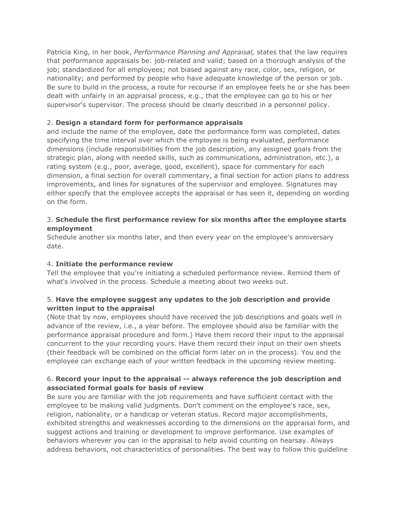Patricia King, in her book, *Performance Planning and Appraisal,* states that the law requires that performance appraisals be: job-related and valid; based on a thorough analysis of the job; standardized for all employees; not biased against any race, color, sex, religion, or nationality; and performed by people who have adequate knowledge of the person or job. Be sure to build in the process, a route for recourse if an employee feels he or she has been dealt with unfairly in an appraisal process, e.g., that the employee can go to his or her supervisor's supervisor. The process should be clearly described in a personnel policy.

## 2. **Design a standard form for performance appraisals**

and include the name of the employee, date the performance form was completed, dates specifying the time interval over which the employee is being evaluated, performance dimensions (include responsibilities from the job description, any assigned goals from the strategic plan, along with needed skills, such as communications, administration, etc.), a rating system (e.g., poor, average, good, excellent), space for commentary for each dimension, a final section for overall commentary, a final section for action plans to address improvements, and lines for signatures of the supervisor and employee. Signatures may either specify that the employee accepts the appraisal or has seen it, depending on wording on the form.

## 3. **Schedule the first performance review for six months after the employee starts employment**

Schedule another six months later, and then every year on the employee's anniversary date.

#### 4. **Initiate the performance review**

Tell the employee that you're initiating a scheduled performance review. Remind them of what's involved in the process. Schedule a meeting about two weeks out.

## 5. **Have the employee suggest any updates to the job description and provide written input to the appraisal**

(Note that by now, employees should have received the job descriptions and goals well in advance of the review, i.e., a year before. The employee should also be familiar with the performance appraisal procedure and form.) Have them record their input to the appraisal concurrent to the your recording yours. Have them record their input on their own sheets (their feedback will be combined on the official form later on in the process). You and the employee can exchange each of your written feedback in the upcoming review meeting.

## 6. **Record your input to the appraisal -- always reference the job description and associated formal goals for basis of review**

Be sure you are familiar with the job requirements and have sufficient contact with the employee to be making valid judgments. Don't comment on the employee's race, sex, religion, nationality, or a handicap or veteran status. Record major accomplishments, exhibited strengths and weaknesses according to the dimensions on the appraisal form, and suggest actions and training or development to improve performance. Use examples of behaviors wherever you can in the appraisal to help avoid counting on hearsay. Always address behaviors, not characteristics of personalities. The best way to follow this guideline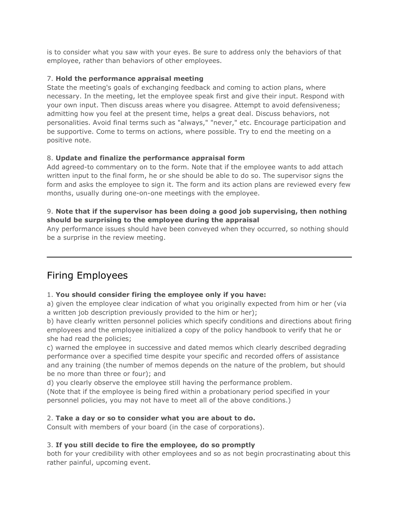is to consider what you saw with your eyes. Be sure to address only the behaviors of that employee, rather than behaviors of other employees.

# 7. **Hold the performance appraisal meeting**

State the meeting's goals of exchanging feedback and coming to action plans, where necessary. In the meeting, let the employee speak first and give their input. Respond with your own input. Then discuss areas where you disagree. Attempt to avoid defensiveness; admitting how you feel at the present time, helps a great deal. Discuss behaviors, not personalities. Avoid final terms such as "always," "never," etc. Encourage participation and be supportive. Come to terms on actions, where possible. Try to end the meeting on a positive note.

# 8. **Update and finalize the performance appraisal form**

Add agreed-to commentary on to the form. Note that if the employee wants to add attach written input to the final form, he or she should be able to do so. The supervisor signs the form and asks the employee to sign it. The form and its action plans are reviewed every few months, usually during one-on-one meetings with the employee.

# 9. **Note that if the supervisor has been doing a good job supervising, then nothing should be surprising to the employee during the appraisal**

Any performance issues should have been conveyed when they occurred, so nothing should be a surprise in the review meeting.

# Firing Employees

# 1. **You should consider firing the employee only if you have:**

a) given the employee clear indication of what you originally expected from him or her (via a written job description previously provided to the him or her);

b) have clearly written personnel policies which specify conditions and directions about firing employees and the employee initialized a copy of the policy handbook to verify that he or she had read the policies;

c) warned the employee in successive and dated memos which clearly described degrading performance over a specified time despite your specific and recorded offers of assistance and any training (the number of memos depends on the nature of the problem, but should be no more than three or four); and

d) you clearly observe the employee still having the performance problem.

(Note that if the employee is being fired within a probationary period specified in your personnel policies, you may not have to meet all of the above conditions.)

# 2. **Take a day or so to consider what you are about to do.**

Consult with members of your board (in the case of corporations).

## 3. **If you still decide to fire the employee, do so promptly**

both for your credibility with other employees and so as not begin procrastinating about this rather painful, upcoming event.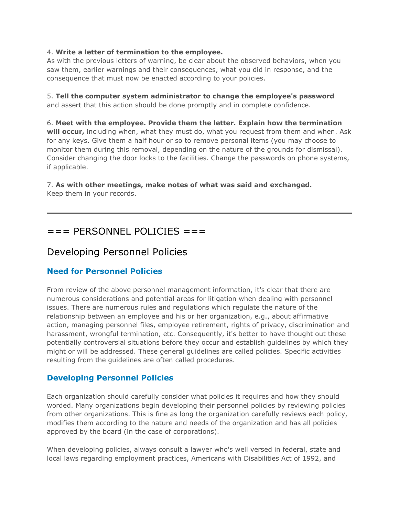#### 4. **Write a letter of termination to the employee.**

As with the previous letters of warning, be clear about the observed behaviors, when you saw them, earlier warnings and their consequences, what you did in response, and the consequence that must now be enacted according to your policies.

# 5. **Tell the computer system administrator to change the employee's password**

and assert that this action should be done promptly and in complete confidence.

# 6. **Meet with the employee. Provide them the letter. Explain how the termination will occur,** including when, what they must do, what you request from them and when. Ask for any keys. Give them a half hour or so to remove personal items (you may choose to monitor them during this removal, depending on the nature of the grounds for dismissal). Consider changing the door locks to the facilities. Change the passwords on phone systems, if applicable.

# 7. **As with other meetings, make notes of what was said and exchanged.**

Keep them in your records.

# $==$  PERSONNEL POLICIES  $==$

# Developing Personnel Policies

# **Need for Personnel Policies**

From review of the above personnel management information, it's clear that there are numerous considerations and potential areas for litigation when dealing with personnel issues. There are numerous rules and regulations which regulate the nature of the relationship between an employee and his or her organization, e.g., about affirmative action, managing personnel files, employee retirement, rights of privacy, discrimination and harassment, wrongful termination, etc. Consequently, it's better to have thought out these potentially controversial situations before they occur and establish guidelines by which they might or will be addressed. These general guidelines are called policies. Specific activities resulting from the guidelines are often called procedures.

# **Developing Personnel Policies**

Each organization should carefully consider what policies it requires and how they should worded. Many organizations begin developing their personnel policies by reviewing policies from other organizations. This is fine as long the organization carefully reviews each policy, modifies them according to the nature and needs of the organization and has all policies approved by the board (in the case of corporations).

When developing policies, always consult a lawyer who's well versed in federal, state and local laws regarding employment practices, Americans with Disabilities Act of 1992, and